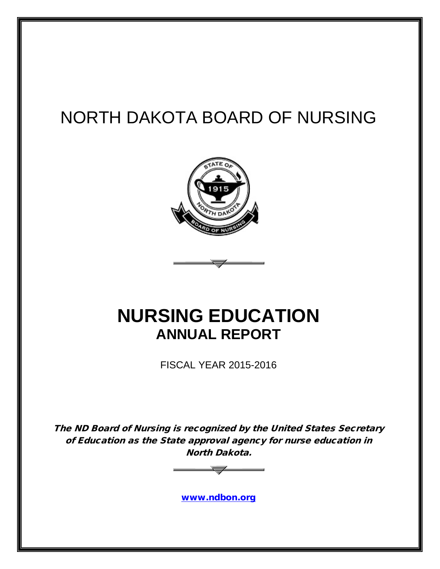# NORTH DAKOTA BOARD OF NURSING



# **NURSING EDUCATION ANNUAL REPORT**

FISCAL YEAR 2015-2016

The ND Board of Nursing is recognized by the United States Secretary of Education as the State approval agency for nurse education in North Dakota.



[www.ndbon.org](http://www.ndbon.org/)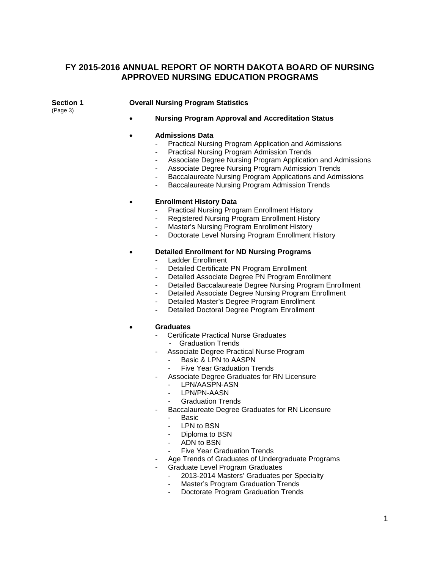#### **FY 2015-2016 ANNUAL REPORT OF NORTH DAKOTA BOARD OF NURSING APPROVED NURSING EDUCATION PROGRAMS**

(Page 3)

#### **Section 1 Overall Nursing Program Statistics**

• **Nursing Program Approval and Accreditation Status**

#### • **Admissions Data**

- Practical Nursing Program Application and Admissions
- Practical Nursing Program Admission Trends
- Associate Degree Nursing Program Application and Admissions
- Associate Degree Nursing Program Admission Trends
- Baccalaureate Nursing Program Applications and Admissions
- Baccalaureate Nursing Program Admission Trends

#### • **Enrollment History Data**

- Practical Nursing Program Enrollment History
- Registered Nursing Program Enrollment History
- Master's Nursing Program Enrollment History
- Doctorate Level Nursing Program Enrollment History

#### • **Detailed Enrollment for ND Nursing Programs**

- Ladder Enrollment
- Detailed Certificate PN Program Enrollment
- Detailed Associate Degree PN Program Enrollment
- Detailed Baccalaureate Degree Nursing Program Enrollment
- Detailed Associate Degree Nursing Program Enrollment
- Detailed Master's Degree Program Enrollment
- Detailed Doctoral Degree Program Enrollment

#### • **Graduates**

- Certificate Practical Nurse Graduates
	- Graduation Trends
- Associate Degree Practical Nurse Program
	- Basic & LPN to AASPN
	- **Five Year Graduation Trends**
- Associate Degree Graduates for RN Licensure
	- LPN/AASPN-ASN
	- LPN/PN-AASN
	- Graduation Trends
- Baccalaureate Degree Graduates for RN Licensure
	- Basic
	- LPN to BSN
	- Diploma to BSN
	- ADN to BSN
	- Five Year Graduation Trends
- Age Trends of Graduates of Undergraduate Programs
- Graduate Level Program Graduates
	- 2013-2014 Masters' Graduates per Specialty
	- Master's Program Graduation Trends
	- Doctorate Program Graduation Trends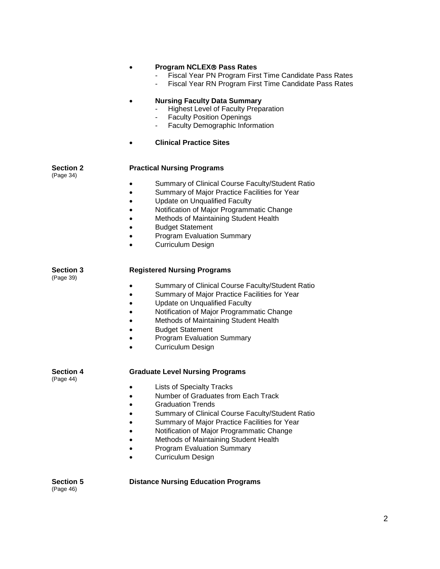|                               | <b>Program NCLEX® Pass Rates</b><br>Fiscal Year PN Program First Time Candidate Pass Rates<br>Fiscal Year RN Program First Time Candidate Pass Rates                                                                                                                                                                                                                     |
|-------------------------------|--------------------------------------------------------------------------------------------------------------------------------------------------------------------------------------------------------------------------------------------------------------------------------------------------------------------------------------------------------------------------|
|                               | <b>Nursing Faculty Data Summary</b><br><b>Highest Level of Faculty Preparation</b><br><b>Faculty Position Openings</b><br>Faculty Demographic Information                                                                                                                                                                                                                |
|                               | <b>Clinical Practice Sites</b>                                                                                                                                                                                                                                                                                                                                           |
| <b>Section 2</b>              | <b>Practical Nursing Programs</b>                                                                                                                                                                                                                                                                                                                                        |
| (Page 34)                     | Summary of Clinical Course Faculty/Student Ratio<br>$\bullet$<br>Summary of Major Practice Facilities for Year<br>$\bullet$<br>Update on Unqualified Faculty<br>$\bullet$<br>Notification of Major Programmatic Change<br>Methods of Maintaining Student Health<br><b>Budget Statement</b><br><b>Program Evaluation Summary</b><br><b>Curriculum Design</b><br>$\bullet$ |
| <b>Section 3</b><br>(Page 39) | <b>Registered Nursing Programs</b>                                                                                                                                                                                                                                                                                                                                       |
|                               | Summary of Clinical Course Faculty/Student Ratio<br>Summary of Major Practice Facilities for Year<br><b>Update on Unqualified Faculty</b><br>٠<br>Notification of Major Programmatic Change<br>Methods of Maintaining Student Health<br><b>Budget Statement</b><br><b>Program Evaluation Summary</b><br><b>Curriculum Design</b>                                         |
| <b>Section 4</b><br>(Page 44) | <b>Graduate Level Nursing Programs</b>                                                                                                                                                                                                                                                                                                                                   |
|                               | <b>Lists of Specialty Tracks</b><br>Number of Graduates from Each Track<br><b>Graduation Trends</b><br>Summary of Clinical Course Faculty/Student Ratio<br>Summary of Major Practice Facilities for Year<br>Notification of Major Programmatic Change<br>Methods of Maintaining Student Health<br><b>Program Evaluation Summary</b><br>Curriculum Design                 |
| <b>Section 5</b>              | <b>Distance Nursing Education Programs</b>                                                                                                                                                                                                                                                                                                                               |

(Page 46)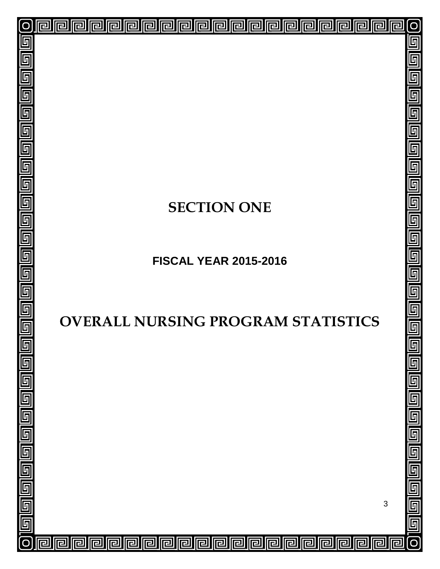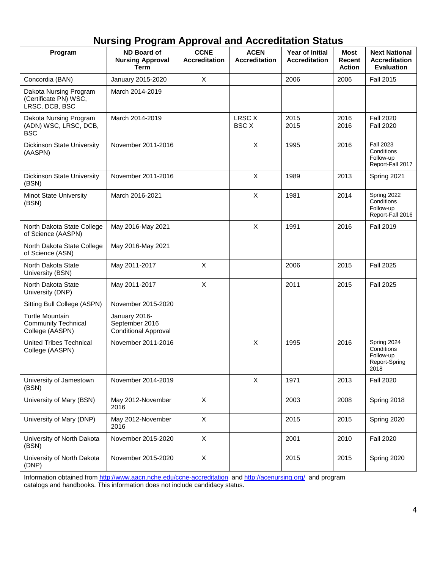|  | <b>Nursing Program Approval and Accreditation Status</b> |
|--|----------------------------------------------------------|
|--|----------------------------------------------------------|

| Program                                                                 | <b>ND Board of</b><br><b>Nursing Approval</b><br><b>Term</b>   | <b>CCNE</b><br><b>Accreditation</b> | <b>ACEN</b><br><b>Accreditation</b> | <b>Year of Initial</b><br><b>Accreditation</b> | <b>Most</b><br>Recent<br><b>Action</b> | <b>Next National</b><br><b>Accreditation</b><br><b>Evaluation</b> |
|-------------------------------------------------------------------------|----------------------------------------------------------------|-------------------------------------|-------------------------------------|------------------------------------------------|----------------------------------------|-------------------------------------------------------------------|
| Concordia (BAN)                                                         | January 2015-2020                                              | X                                   |                                     | 2006                                           | 2006                                   | <b>Fall 2015</b>                                                  |
| Dakota Nursing Program<br>(Certificate PN) WSC,<br>LRSC, DCB, BSC       | March 2014-2019                                                |                                     |                                     |                                                |                                        |                                                                   |
| Dakota Nursing Program<br>(ADN) WSC, LRSC, DCB,<br><b>BSC</b>           | March 2014-2019                                                |                                     | LRSC X<br><b>BSC X</b>              | 2015<br>2015                                   | 2016<br>2016                           | <b>Fall 2020</b><br><b>Fall 2020</b>                              |
| Dickinson State University<br>(AASPN)                                   | November 2011-2016                                             |                                     | X                                   | 1995                                           | 2016                                   | <b>Fall 2023</b><br>Conditions<br>Follow-up<br>Report-Fall 2017   |
| Dickinson State University<br>(BSN)                                     | November 2011-2016                                             |                                     | X                                   | 1989                                           | 2013                                   | Spring 2021                                                       |
| <b>Minot State University</b><br>(BSN)                                  | March 2016-2021                                                |                                     | $\mathsf{X}$                        | 1981                                           | 2014                                   | Spring 2022<br>Conditions<br>Follow-up<br>Report-Fall 2016        |
| North Dakota State College<br>of Science (AASPN)                        | May 2016-May 2021                                              |                                     | X                                   | 1991                                           | 2016                                   | <b>Fall 2019</b>                                                  |
| North Dakota State College<br>of Science (ASN)                          | May 2016-May 2021                                              |                                     |                                     |                                                |                                        |                                                                   |
| North Dakota State<br>University (BSN)                                  | May 2011-2017                                                  | X                                   |                                     | 2006                                           | 2015                                   | <b>Fall 2025</b>                                                  |
| North Dakota State<br>University (DNP)                                  | May 2011-2017                                                  | X                                   |                                     | 2011                                           | 2015                                   | <b>Fall 2025</b>                                                  |
| Sitting Bull College (ASPN)                                             | November 2015-2020                                             |                                     |                                     |                                                |                                        |                                                                   |
| <b>Turtle Mountain</b><br><b>Community Technical</b><br>College (AASPN) | January 2016-<br>September 2016<br><b>Conditional Approval</b> |                                     |                                     |                                                |                                        |                                                                   |
| <b>United Tribes Technical</b><br>College (AASPN)                       | November 2011-2016                                             |                                     | X                                   | 1995                                           | 2016                                   | Spring 2024<br>Conditions<br>Follow-up<br>Report-Spring<br>2018   |
| University of Jamestown<br>(BSN)                                        | November 2014-2019                                             |                                     | $\pmb{\times}$                      | 1971                                           | 2013                                   | <b>Fall 2020</b>                                                  |
| University of Mary (BSN)                                                | May 2012-November<br>2016                                      | $\pmb{\times}$                      |                                     | 2003                                           | 2008                                   | Spring 2018                                                       |
| University of Mary (DNP)                                                | May 2012-November<br>2016                                      | $\pmb{\times}$                      |                                     | 2015                                           | 2015                                   | Spring 2020                                                       |
| University of North Dakota<br>(BSN)                                     | November 2015-2020                                             | X                                   |                                     | 2001                                           | 2010                                   | <b>Fall 2020</b>                                                  |
| University of North Dakota<br>(DNP)                                     | November 2015-2020                                             | $\boldsymbol{\mathsf{X}}$           |                                     | 2015                                           | 2015                                   | Spring 2020                                                       |

Information obtained fro[m http://www.aacn.nche.edu/ccne-accreditation](http://www.aacn.nche.edu/ccne-accreditation) and<http://acenursing.org/> and program catalogs and handbooks. This information does not include candidacy status.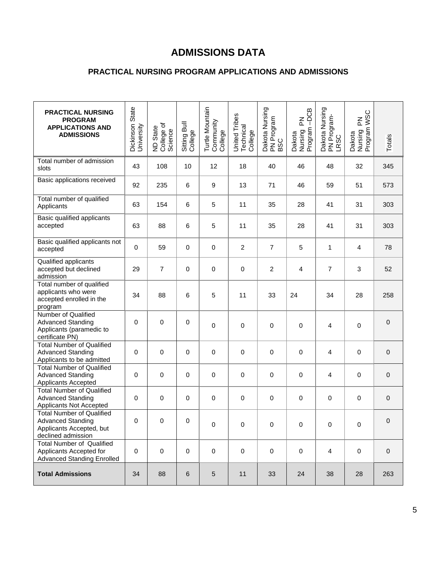# **ADMISSIONS DATA**

### **PRACTICAL NURSING PROGRAM APPLICATIONS AND ADMISSIONS**

| <b>PRACTICAL NURSING</b><br><b>PROGRAM</b><br><b>APPLICATIONS AND</b><br><b>ADMISSIONS</b>                     | Dickinson State<br>University | ND State<br>College of<br>Science | Sitting Bull<br>College | Turtle Mountain<br>Community<br>College | United Tribes<br>Technical<br>College | Dakota Nursing<br>PN Program<br>BSC | -DCB<br>$\mathop{\underline{\mathsf{Z}}}\nolimits$<br>Dakota<br>Nursing F<br>Program - | Dakota Nursing<br>PN Program-<br>LRSC | Dakota<br>Nursing PN<br>Program WSC | Totals           |
|----------------------------------------------------------------------------------------------------------------|-------------------------------|-----------------------------------|-------------------------|-----------------------------------------|---------------------------------------|-------------------------------------|----------------------------------------------------------------------------------------|---------------------------------------|-------------------------------------|------------------|
| Total number of admission<br>slots                                                                             | 43                            | 108                               | 10                      | 12                                      | 18                                    | 40                                  | 46                                                                                     | 48                                    | 32                                  | 345              |
| Basic applications received                                                                                    | 92                            | 235                               | 6                       | 9                                       | 13                                    | 71                                  | 46                                                                                     | 59                                    | 51                                  | 573              |
| Total number of qualified<br>Applicants                                                                        | 63                            | 154                               | 6                       | $\sqrt{5}$                              | 11                                    | 35                                  | 28                                                                                     | 41                                    | 31                                  | 303              |
| Basic qualified applicants<br>accepted                                                                         | 63                            | 88                                | 6                       | 5                                       | 11                                    | 35                                  | 28                                                                                     | 41                                    | 31                                  | 303              |
| Basic qualified applicants not<br>accepted                                                                     | $\pmb{0}$                     | 59                                | 0                       | $\pmb{0}$                               | $\overline{c}$                        | $\overline{7}$                      | 5                                                                                      | 1                                     | $\overline{\mathbf{4}}$             | 78               |
| Qualified applicants<br>accepted but declined<br>admission                                                     | 29                            | $\overline{7}$                    | 0                       | $\mathbf 0$                             | 0                                     | 2                                   | $\overline{\mathbf{4}}$                                                                | $\overline{7}$                        | 3                                   | 52               |
| Total number of qualified<br>applicants who were<br>accepted enrolled in the<br>program                        | 34                            | 88                                | 6                       | 5                                       | 11                                    | 33                                  | 24                                                                                     | 34                                    | 28                                  | 258              |
| Number of Qualified<br><b>Advanced Standing</b><br>Applicants (paramedic to<br>certificate PN)                 | 0                             | 0                                 | 0                       | $\mathbf 0$                             | 0                                     | 0                                   | 0                                                                                      | 4                                     | 0                                   | 0                |
| <b>Total Number of Qualified</b><br><b>Advanced Standing</b><br>Applicants to be admitted                      | $\mathbf 0$                   | 0                                 | 0                       | $\mathbf 0$                             | 0                                     | 0                                   | 0                                                                                      | 4                                     | 0                                   | 0                |
| <b>Total Number of Qualified</b><br><b>Advanced Standing</b><br>Applicants Accepted                            | $\mathbf 0$                   | 0                                 | 0                       | $\pmb{0}$                               | 0                                     | 0                                   | $\pmb{0}$                                                                              | 4                                     | 0                                   | $\boldsymbol{0}$ |
| <b>Total Number of Qualified</b><br><b>Advanced Standing</b><br><b>Applicants Not Accepted</b>                 | 0                             | 0                                 | 0                       | $\mathbf 0$                             | 0                                     | $\pmb{0}$                           | 0                                                                                      | 0                                     | 0                                   | $\pmb{0}$        |
| <b>Total Number of Qualified</b><br><b>Advanced Standing</b><br>Applicants Accepted, but<br>declined admission | 0                             | 0                                 | 0                       | $\pmb{0}$                               | $\pmb{0}$                             | $\pmb{0}$                           | $\pmb{0}$                                                                              | 0                                     | $\pmb{0}$                           | $\pmb{0}$        |
| <b>Total Number of Qualified</b><br>Applicants Accepted for<br><b>Advanced Standing Enrolled</b>               | 0                             | $\mathbf 0$                       | $\pmb{0}$               | $\pmb{0}$                               | $\pmb{0}$                             | $\pmb{0}$                           | $\pmb{0}$                                                                              | 4                                     | $\pmb{0}$                           | $\pmb{0}$        |
| <b>Total Admissions</b>                                                                                        | 34                            | 88                                | $6\phantom{1}$          | $\sqrt{5}$                              | 11                                    | 33                                  | 24                                                                                     | 38                                    | 28                                  | 263              |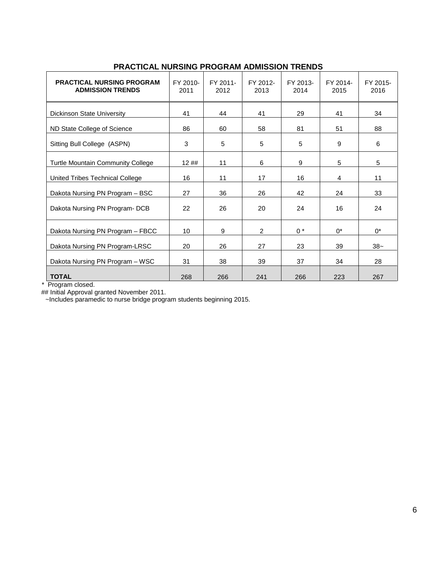| <b>PRACTICAL NURSING PROGRAM</b><br><b>ADMISSION TRENDS</b> | FY 2010-<br>2011 | FY 2011-<br>2012 | FY 2012-<br>2013 | FY 2013-<br>2014 | FY 2014-<br>2015 | FY 2015-<br>2016 |
|-------------------------------------------------------------|------------------|------------------|------------------|------------------|------------------|------------------|
| <b>Dickinson State University</b>                           | 41               | 44               | 41               | 29               | 41               | 34               |
| ND State College of Science                                 | 86               | 60               | 58               | 81               | 51               | 88               |
| Sitting Bull College (ASPN)                                 | 3                | 5                | 5                | 5                | 9                | 6                |
| Turtle Mountain Community College                           | 12##             | 11               | 6                | 9                | 5                | 5                |
| United Tribes Technical College                             | 16               | 11               | 17               | 16               | 4                | 11               |
| Dakota Nursing PN Program - BSC                             | 27               | 36               | 26               | 42               | 24               | 33               |
| Dakota Nursing PN Program-DCB                               | 22               | 26               | 20               | 24               | 16               | 24               |
| Dakota Nursing PN Program - FBCC                            | 10               | 9                | $\overline{2}$   | $0 *$            | $0^*$            | $0^*$            |
| Dakota Nursing PN Program-LRSC                              | 20               | 26               | 27               | 23               | 39               | $38-$            |
| Dakota Nursing PN Program - WSC                             | 31               | 38               | 39               | 37               | 34               | 28               |
| <b>TOTAL</b>                                                | 268              | 266              | 241              | 266              | 223              | 267              |

### **PRACTICAL NURSING PROGRAM ADMISSION TRENDS**

\* Program closed.

## Initial Approval granted November 2011.

~Includes paramedic to nurse bridge program students beginning 2015.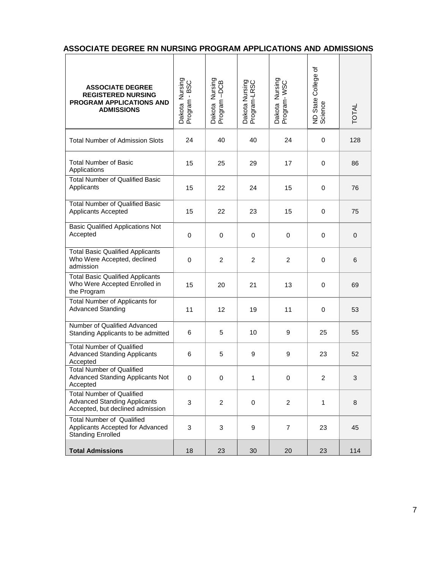|  | ASSOCIATE DEGREE RN NURSING PROGRAM APPLICATIONS AND ADMISSIONS |  |  |  |  |
|--|-----------------------------------------------------------------|--|--|--|--|
|--|-----------------------------------------------------------------|--|--|--|--|

| <b>ASSOCIATE DEGREE</b><br><b>REGISTERED NURSING</b><br>PROGRAM APPLICATIONS AND<br><b>ADMISSIONS</b>       | Dakota Nursing<br>Program - BSC | Dakota Nursing<br>Program -DCB | Dakota Nursing<br>Program-LRSC | Dakota Nursing<br>Program- WSC | ৳<br>College o<br>ND State (<br>Science | <b>TOTAL</b> |
|-------------------------------------------------------------------------------------------------------------|---------------------------------|--------------------------------|--------------------------------|--------------------------------|-----------------------------------------|--------------|
| <b>Total Number of Admission Slots</b>                                                                      | 24                              | 40                             | 40                             | 24                             | 0                                       | 128          |
| <b>Total Number of Basic</b><br>Applications                                                                | 15                              | 25                             | 29                             | 17                             | $\mathbf 0$                             | 86           |
| <b>Total Number of Qualified Basic</b><br>Applicants                                                        | 15                              | 22                             | 24                             | 15                             | 0                                       | 76           |
| <b>Total Number of Qualified Basic</b><br>Applicants Accepted                                               | 15                              | 22                             | 23                             | 15                             | 0                                       | 75           |
| <b>Basic Qualified Applications Not</b><br>Accepted                                                         | 0                               | 0                              | 0                              | 0                              | 0                                       | 0            |
| <b>Total Basic Qualified Applicants</b><br>Who Were Accepted, declined<br>admission                         | 0                               | $\overline{c}$                 | $\overline{c}$                 | $\overline{c}$                 | 0                                       | 6            |
| <b>Total Basic Qualified Applicants</b><br>Who Were Accepted Enrolled in<br>the Program                     | 15                              | 20                             | 21                             | 13                             | $\mathbf 0$                             | 69           |
| Total Number of Applicants for<br><b>Advanced Standing</b>                                                  | 11                              | 12                             | 19                             | 11                             | $\mathbf 0$                             | 53           |
| Number of Qualified Advanced<br>Standing Applicants to be admitted                                          | 6                               | 5                              | 10                             | 9                              | 25                                      | 55           |
| <b>Total Number of Qualified</b><br><b>Advanced Standing Applicants</b><br>Accepted                         | 6                               | 5                              | 9                              | 9                              | 23                                      | 52           |
| <b>Total Number of Qualified</b><br>Advanced Standing Applicants Not<br>Accepted                            | 0                               | 0                              | 1.                             | 0                              | $\overline{2}$                          | 3            |
| <b>Total Number of Qualified</b><br><b>Advanced Standing Applicants</b><br>Accepted, but declined admission | 3                               | 2                              | 0                              | 2                              | $\mathbf{1}$                            | 8            |
| <b>Total Number of Qualified</b><br>Applicants Accepted for Advanced<br><b>Standing Enrolled</b>            | 3                               | 3                              | 9                              | $\overline{7}$                 | 23                                      | 45           |
| <b>Total Admissions</b>                                                                                     | 18                              | 23                             | 30                             | 20                             | 23                                      | 114          |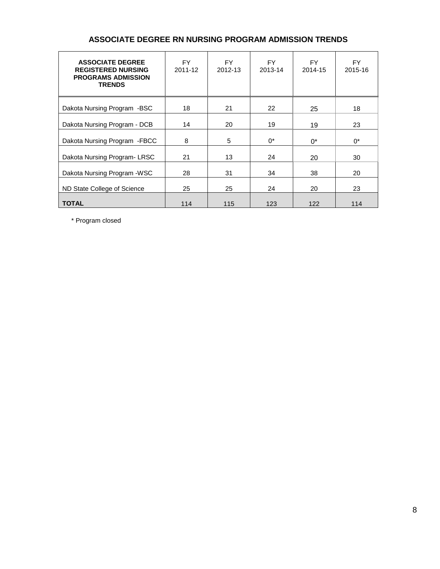| <b>ASSOCIATE DEGREE</b><br><b>REGISTERED NURSING</b><br><b>PROGRAMS ADMISSION</b><br><b>TRENDS</b> | FY.<br>2011-12 | FY.<br>2012-13 | FY.<br>2013-14 | FY.<br>2014-15 | FY.<br>2015-16 |
|----------------------------------------------------------------------------------------------------|----------------|----------------|----------------|----------------|----------------|
| Dakota Nursing Program -BSC                                                                        | 18             | 21             | 22             | 25             | 18             |
| Dakota Nursing Program - DCB                                                                       | 14             | 20             | 19             | 19             | 23             |
| Dakota Nursing Program - FBCC                                                                      | 8              | 5              | $0^*$          | $0^*$          | $0^*$          |
| Dakota Nursing Program-LRSC                                                                        | 21             | 13             | 24             | 20             | 30             |
| Dakota Nursing Program - WSC                                                                       | 28             | 31             | 34             | 38             | 20             |
| ND State College of Science                                                                        | 25             | 25             | 24             | 20             | 23             |
| <b>TOTAL</b>                                                                                       | 114            | 115            | 123            | 122            | 114            |

#### **ASSOCIATE DEGREE RN NURSING PROGRAM ADMISSION TRENDS**

\* Program closed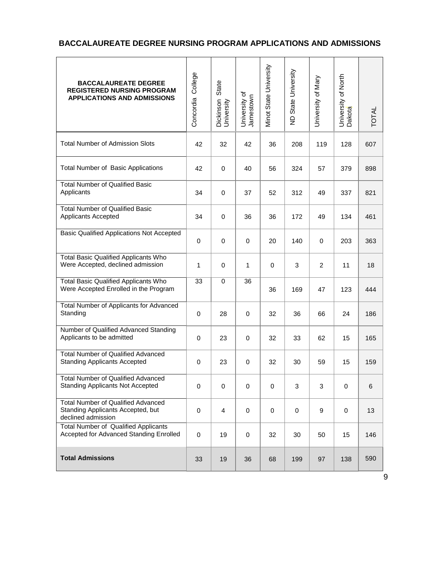#### **BACCALAUREATE DEGREE NURSING PROGRAM APPLICATIONS AND ADMISSIONS**

| <b>BACCALAUREATE DEGREE</b><br><b>REGISTERED NURSING PROGRAM</b><br><b>APPLICATIONS AND ADMISSIONS</b> | College<br>Concordia | State<br>Dickinson<br>University | University of<br>Jamestown | Minot State University | State University<br>$\frac{1}{2}$ | University of Mary | University of North<br>Dakota | TOTAL |
|--------------------------------------------------------------------------------------------------------|----------------------|----------------------------------|----------------------------|------------------------|-----------------------------------|--------------------|-------------------------------|-------|
| <b>Total Number of Admission Slots</b>                                                                 | 42                   | 32                               | 42                         | 36                     | 208                               | 119                | 128                           | 607   |
| <b>Total Number of Basic Applications</b>                                                              | 42                   | 0                                | 40                         | 56                     | 324                               | 57                 | 379                           | 898   |
| <b>Total Number of Qualified Basic</b><br>Applicants                                                   | 34                   | 0                                | 37                         | 52                     | 312                               | 49                 | 337                           | 821   |
| <b>Total Number of Qualified Basic</b><br>Applicants Accepted                                          | 34                   | 0                                | 36                         | 36                     | 172                               | 49                 | 134                           | 461   |
| <b>Basic Qualified Applications Not Accepted</b>                                                       | $\mathbf 0$          | 0                                | $\mathbf 0$                | 20                     | 140                               | $\mathbf 0$        | 203                           | 363   |
| <b>Total Basic Qualified Applicants Who</b><br>Were Accepted, declined admission                       | 1                    | 0                                | 1                          | $\mathbf 0$            | 3                                 | 2                  | 11                            | 18    |
| <b>Total Basic Qualified Applicants Who</b><br>Were Accepted Enrolled in the Program                   | 33                   | 0                                | 36                         | 36                     | 169                               | 47                 | 123                           | 444   |
| Total Number of Applicants for Advanced<br>Standing                                                    | $\pmb{0}$            | 28                               | 0                          | 32                     | 36                                | 66                 | 24                            | 186   |
| Number of Qualified Advanced Standing<br>Applicants to be admitted                                     | $\mathbf 0$          | 23                               | 0                          | 32                     | 33                                | 62                 | 15                            | 165   |
| <b>Total Number of Qualified Advanced</b><br><b>Standing Applicants Accepted</b>                       | 0                    | 23                               | $\mathbf 0$                | 32                     | 30                                | 59                 | 15                            | 159   |
| Total Number of Qualified Advanced<br><b>Standing Applicants Not Accepted</b>                          | 0                    | 0                                | 0                          | 0                      | 3                                 | 3                  | 0                             | 6     |
| <b>Total Number of Qualified Advanced</b><br>Standing Applicants Accepted, but<br>declined admission   | 0                    | 4                                | $\mathbf 0$                | 0                      | $\mathbf 0$                       | 9                  | $\mathbf 0$                   | 13    |
| <b>Total Number of Qualified Applicants</b><br>Accepted for Advanced Standing Enrolled                 | $\pmb{0}$            | 19                               | $\mathbf 0$                | 32                     | 30                                | 50                 | 15                            | 146   |
| <b>Total Admissions</b>                                                                                | 33                   | 19                               | 36                         | 68                     | 199                               | 97                 | 138                           | 590   |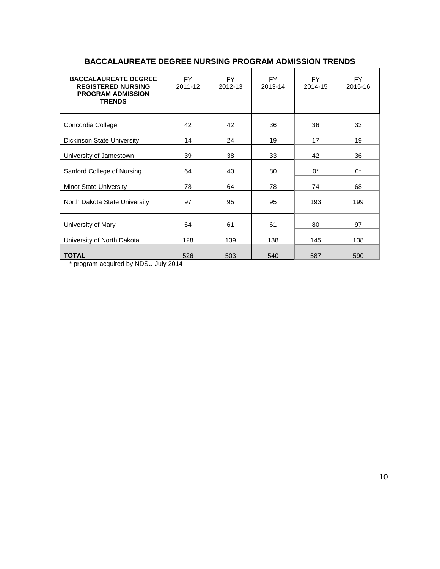| <b>BACCALAUREATE DEGREE</b><br><b>REGISTERED NURSING</b><br><b>PROGRAM ADMISSION</b><br><b>TRENDS</b> | <b>FY</b><br>2011-12 | <b>FY</b><br>2012-13 | <b>FY</b><br>2013-14 | <b>FY</b><br>2014-15 | <b>FY</b><br>2015-16 |
|-------------------------------------------------------------------------------------------------------|----------------------|----------------------|----------------------|----------------------|----------------------|
| Concordia College                                                                                     | 42                   | 42                   | 36                   | 36                   | 33                   |
| Dickinson State University                                                                            | 14                   | 24                   | 19                   | 17                   | 19                   |
| University of Jamestown                                                                               | 39                   | 38                   | 33                   | 42                   | 36                   |
| Sanford College of Nursing                                                                            | 64                   | 40                   | 80                   | $0^*$                | $0^*$                |
| <b>Minot State University</b>                                                                         | 78                   | 64                   | 78                   | 74                   | 68                   |
| North Dakota State University                                                                         | 97                   | 95                   | 95                   | 193                  | 199                  |
| University of Mary                                                                                    | 64                   | 61                   | 61                   | 80                   | 97                   |
| University of North Dakota                                                                            | 128                  | 139                  | 138                  | 145                  | 138                  |
| <b>TOTAL</b>                                                                                          | 526                  | 503                  | 540                  | 587                  | 590                  |

#### **BACCALAUREATE DEGREE NURSING PROGRAM ADMISSION TRENDS**

\* program acquired by NDSU July 2014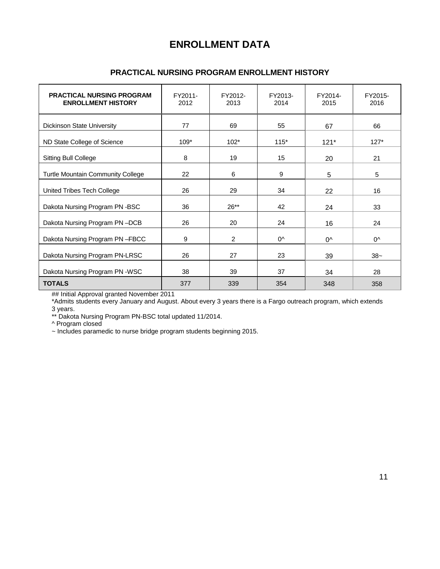## **ENROLLMENT DATA**

#### **PRACTICAL NURSING PROGRAM ENROLLMENT HISTORY**

| <b>PRACTICAL NURSING PROGRAM</b><br><b>ENROLLMENT HISTORY</b> | FY2011-<br>2012 | FY2012-<br>2013 | FY2013-<br>2014 | FY2014-<br>2015 | FY2015-<br>2016 |
|---------------------------------------------------------------|-----------------|-----------------|-----------------|-----------------|-----------------|
| <b>Dickinson State University</b>                             | 77              | 69              | 55              | 67              | 66              |
| ND State College of Science                                   | $109*$          | $102*$          | $115*$          | $121*$          | $127*$          |
| <b>Sitting Bull College</b>                                   | 8               | 19              | 15              | 20              | 21              |
| <b>Turtle Mountain Community College</b>                      | 22              | 6               | 9               | 5               | 5               |
| United Tribes Tech College                                    | 26              | 29              | 34              | 22              | 16              |
| Dakota Nursing Program PN -BSC                                | 36              | $26**$          | 42              | 24              | 33              |
| Dakota Nursing Program PN-DCB                                 | 26              | 20              | 24              | 16              | 24              |
| Dakota Nursing Program PN-FBCC                                | 9               | 2               | 0^              | $0^{\wedge}$    | $0^{\wedge}$    |
| Dakota Nursing Program PN-LRSC                                | 26              | 27              | 23              | 39              | $38-$           |
| Dakota Nursing Program PN -WSC                                | 38              | 39              | 37              | 34              | 28              |
| <b>TOTALS</b>                                                 | 377             | 339             | 354             | 348             | 358             |

## Initial Approval granted November 2011

\*Admits students every January and August. About every 3 years there is a Fargo outreach program, which extends 3 years.

\*\* Dakota Nursing Program PN-BSC total updated 11/2014.

^ Program closed

~ Includes paramedic to nurse bridge program students beginning 2015.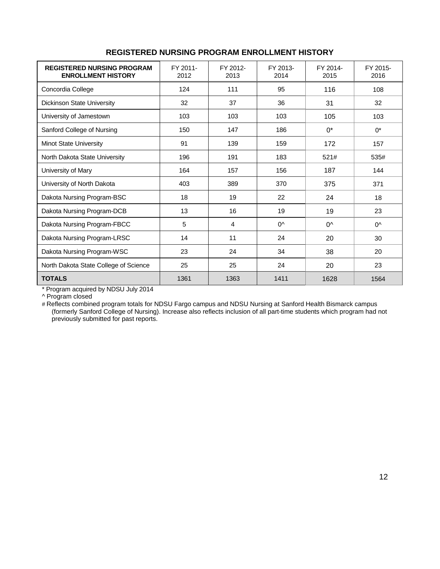| <b>REGISTERED NURSING PROGRAM</b><br><b>ENROLLMENT HISTORY</b> | FY 2011-<br>2012 | FY 2012-<br>2013 | FY 2013-<br>2014 | FY 2014-<br>2015 | FY 2015-<br>2016 |
|----------------------------------------------------------------|------------------|------------------|------------------|------------------|------------------|
| Concordia College                                              | 124              | 111              | 95               | 116              | 108              |
| Dickinson State University                                     | 32               | 37               | 36               | 31               | 32               |
| University of Jamestown                                        | 103              | 103              | 103              | 105              | 103              |
| Sanford College of Nursing                                     | 150              | 147              | 186              | $0^*$            | $0^*$            |
| <b>Minot State University</b>                                  | 91               | 139              | 159              | 172              | 157              |
| North Dakota State University                                  | 196              | 191              | 183              | 521#             | 535#             |
| University of Mary                                             | 164              | 157              | 156              | 187              | 144              |
| University of North Dakota                                     | 403              | 389              | 370              | 375              | 371              |
| Dakota Nursing Program-BSC                                     | 18               | 19               | 22               | 24               | 18               |
| Dakota Nursing Program-DCB                                     | 13               | 16               | 19               | 19               | 23               |
| Dakota Nursing Program-FBCC                                    | 5                | $\overline{4}$   | $0^{\wedge}$     | $0^{\wedge}$     | $0^{\wedge}$     |
| Dakota Nursing Program-LRSC                                    | 14               | 11               | 24               | 20               | 30               |
| Dakota Nursing Program-WSC                                     | 23               | 24               | 34               | 38               | 20               |
| North Dakota State College of Science                          | 25               | 25               | 24               | 20               | 23               |
| <b>TOTALS</b>                                                  | 1361             | 1363             | 1411             | 1628             | 1564             |

#### **REGISTERED NURSING PROGRAM ENROLLMENT HISTORY**

\* Program acquired by NDSU July 2014

^ Program closed

# Reflects combined program totals for NDSU Fargo campus and NDSU Nursing at Sanford Health Bismarck campus (formerly Sanford College of Nursing). Increase also reflects inclusion of all part-time students which program had not previously submitted for past reports.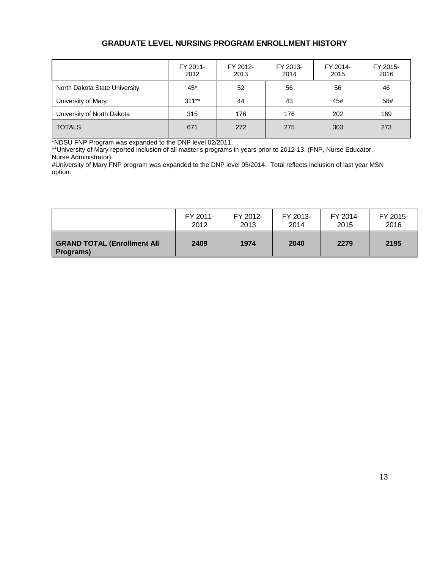#### **GRADUATE LEVEL NURSING PROGRAM ENROLLMENT HISTORY**

|                               | FY 2011-<br>2012 | FY 2012-<br>2013 | FY 2013-<br>2014 | FY 2014-<br>2015 | FY 2015-<br>2016 |
|-------------------------------|------------------|------------------|------------------|------------------|------------------|
| North Dakota State University | 45*              | 52               | 56               | 56               | 46               |
| University of Mary            | $311**$          | 44               | 43               | 45#              | 58#              |
| University of North Dakota    | 315              | 176              | 176              | 202              | 169              |
| <b>TOTALS</b>                 | 671              | 272              | 275              | 303              | 273              |

\*NDSU FNP Program was expanded to the DNP level 02/2011.

\*\*University of Mary reported inclusion of all master's programs in years prior to 2012-13. (FNP, Nurse Educator, Nurse Administrator)

#University of Mary FNP program was expanded to the DNP level 05/2014. Total reflects inclusion of last year MSN option.

|                                                 | FY 2011- | FY 2012- | FY 2013- | FY 2014- | FY 2015- |
|-------------------------------------------------|----------|----------|----------|----------|----------|
|                                                 | 2012     | 2013     | 2014     | 2015     | 2016     |
| <b>GRAND TOTAL (Enrollment All</b><br>Programs) | 2409     | 1974     | 2040     | 2279     | 2195     |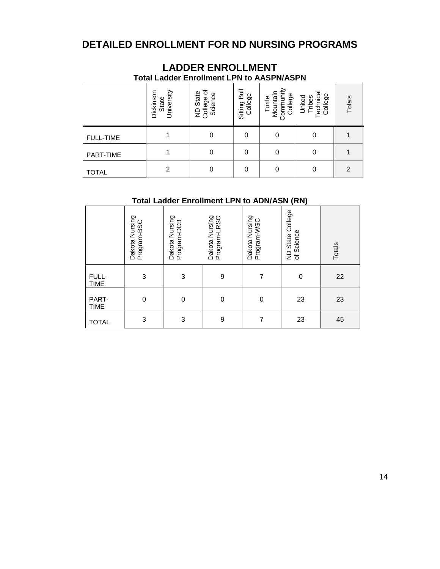## **DETAILED ENROLLMENT FOR ND NURSING PROGRAMS**

|                  | <b>Total Ladder Enrollment LPN to AASPN/ASPN</b> |                                        |                         |                                            |                                                      |               |
|------------------|--------------------------------------------------|----------------------------------------|-------------------------|--------------------------------------------|------------------------------------------------------|---------------|
|                  | University<br>Dickinson<br>State                 | ৳<br>ND State<br>College of<br>Science | Sitting Bull<br>College | Turtle<br>Mountain<br>Community<br>College | <sup>-</sup> echnical<br>College<br>United<br>Tribes | Totals        |
| <b>FULL-TIME</b> |                                                  | 0                                      | 0                       | 0                                          | 0                                                    |               |
| PART-TIME        |                                                  | 0                                      | 0                       | 0                                          | 0                                                    |               |
| TOTAL            | 2                                                | 0                                      | 0                       | 0                                          | 0                                                    | $\mathcal{P}$ |

# **LADDER ENROLLMENT**

#### **Total Ladder Enrollment LPN to ADN/ASN (RN)**

|                      | Dakota Nursing<br>Program-BSC | Nursing<br>Program-DCB<br>Dakota | Dakota Nursing<br>Program-LRSC | Dakota Nursing<br>Program-WSC | ND State College<br>of Science | Totals |
|----------------------|-------------------------------|----------------------------------|--------------------------------|-------------------------------|--------------------------------|--------|
| FULL-<br><b>TIME</b> | 3                             | 3                                | 9                              | 7                             | 0                              | 22     |
| PART-<br><b>TIME</b> | 0                             | 0                                | $\mathbf 0$                    | 0                             | 23                             | 23     |
| <b>TOTAL</b>         | 3                             | 3                                | 9                              | 7                             | 23                             | 45     |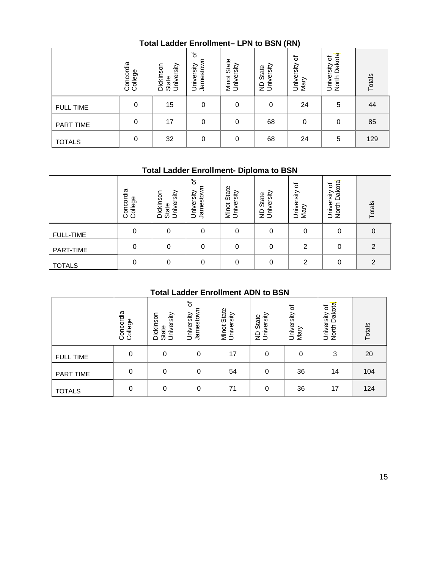#### **Total Ladder Enrollment– LPN to BSN (RN)**

|                  | Concordia<br>College | University<br>Dickinson<br>State | ৳<br>Jamestown<br>University | State<br>Minot Stat<br>University | ND State<br>University | ৳<br>University<br>Mary | University of<br>North Dakota | Totals |
|------------------|----------------------|----------------------------------|------------------------------|-----------------------------------|------------------------|-------------------------|-------------------------------|--------|
| <b>FULL TIME</b> | 0                    | 15                               | $\mathbf 0$                  | 0                                 | 0                      | 24                      | 5                             | 44     |
| PART TIME        | 0                    | 17                               | 0                            | 0                                 | 68                     | 0                       | $\mathbf 0$                   | 85     |
| <b>TOTALS</b>    | 0                    | 32                               | $\mathbf 0$                  | 0                                 | 68                     | 24                      | 5                             | 129    |

#### **Total Ladder Enrollment- Diploma to BSN**

|                  | Concordia<br>College | Dickinson<br>University<br>State | ৳<br>Jamestow<br>University | State<br>rsity<br>Minot<br>Univer | versity<br>State<br>έŝ | 'ত<br>University<br>Mary | Dakota<br>đ<br>rsity<br>Univer<br>North | Totals |
|------------------|----------------------|----------------------------------|-----------------------------|-----------------------------------|------------------------|--------------------------|-----------------------------------------|--------|
| <b>FULL-TIME</b> | 0                    | 0                                | 0                           | 0                                 | 0                      | 0                        | 0                                       | 0      |
| PART-TIME        | 0                    |                                  | 0                           | 0                                 | 0                      | 2                        | $\Omega$                                | 2      |
| <b>TOTALS</b>    | 0                    | 0                                | 0                           | 0                                 | 0                      | ົ                        | $\Omega$                                | ◠      |

### **Total Ladder Enrollment ADN to BSN**

|                                           | Concordia<br>College | Dickinson<br>University<br>State | ৳<br>Jamestown<br>University | <b>Minot State</b><br>University | University<br>State<br>$\varrho$     | University of<br>Mary | North Dakota<br>University of | Totals         |  |  |  |  |
|-------------------------------------------|----------------------|----------------------------------|------------------------------|----------------------------------|--------------------------------------|-----------------------|-------------------------------|----------------|--|--|--|--|
| <b>FULL-TIME</b>                          | $\boldsymbol{0}$     | $\pmb{0}$                        | $\boldsymbol{0}$             | $\mathbf 0$                      | $\pmb{0}$                            | $\pmb{0}$             | $\boldsymbol{0}$              | $\mbox{O}$     |  |  |  |  |
| PART-TIME                                 | $\,0\,$              | $\boldsymbol{0}$                 | $\boldsymbol{0}$             | $\mathbf 0$                      | $\mathbf 0$                          | $\overline{c}$        | $\,0\,$                       | $\overline{c}$ |  |  |  |  |
| <b>TOTALS</b>                             | 0                    | 0                                | $\boldsymbol{0}$             | $\mathbf 0$                      | $\mathbf 0$                          | $\overline{2}$        | 0                             | $\overline{2}$ |  |  |  |  |
| <b>Total Ladder Enrollment ADN to BSN</b> |                      |                                  |                              |                                  |                                      |                       |                               |                |  |  |  |  |
|                                           | Concordia<br>College | Dickinson<br>University<br>State | ৳<br>Jamestown<br>University | Minot State<br>University        | University<br>State<br>$\frac{1}{2}$ | University of<br>Mary | North Dakota<br>University of | Totals         |  |  |  |  |
| <b>FULL TIME</b>                          | $\mathbf 0$          | $\mathbf 0$                      | $\mathbf 0$                  | 17                               | $\mathbf 0$                          | 0                     | 3                             | 20             |  |  |  |  |
| PART TIME                                 | $\mathbf 0$          | $\mathbf 0$                      | $\mathbf 0$                  | 54                               | $\pmb{0}$                            | 36                    | 14                            | 104            |  |  |  |  |
|                                           |                      |                                  |                              |                                  |                                      |                       |                               |                |  |  |  |  |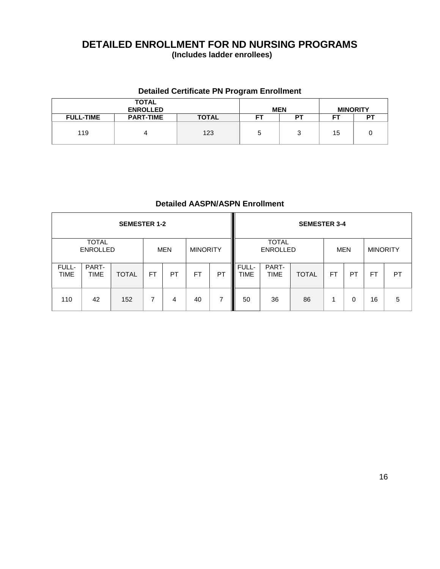# **DETAILED ENROLLMENT FOR ND NURSING PROGRAMS**

**(Includes ladder enrollees)**

#### **Detailed Certificate PN Program Enrollment**

|                  | <b>TOTAL</b><br><b>ENROLLED</b> |              | <b>MEN</b> |    |    | <b>MINORITY</b> |
|------------------|---------------------------------|--------------|------------|----|----|-----------------|
| <b>FULL-TIME</b> | <b>PART-TIME</b>                | <b>TOTAL</b> | FT         | DТ | -- | P.              |
| 119              |                                 | 123          | 5          |    | 15 |                 |

#### **Detailed AASPN/ASPN Enrollment**

|                      |                                 | <b>SEMESTER 1-2</b> |                               |    |     |    |                      |                                 | <b>SEMESTER 3-4</b> |           |           |                 |           |
|----------------------|---------------------------------|---------------------|-------------------------------|----|-----|----|----------------------|---------------------------------|---------------------|-----------|-----------|-----------------|-----------|
|                      | <b>TOTAL</b><br><b>ENROLLED</b> |                     | <b>MINORITY</b><br><b>MEN</b> |    |     |    |                      | <b>TOTAL</b><br><b>ENROLLED</b> |                     |           | MEN       | <b>MINORITY</b> |           |
| FULL-<br><b>TIME</b> | PART-<br><b>TIME</b>            | <b>TOTAL</b>        | FT                            | PT | FT. | PT | FULL-<br><b>TIME</b> | PART-<br><b>TIME</b>            | <b>TOTAL</b>        | <b>FT</b> | <b>PT</b> | <b>FT</b>       | <b>PT</b> |
| 110                  | 42                              | 152                 | 7                             | 4  | 40  | 7  | 50                   | 36                              | 86                  |           | 0         | 16              | 5         |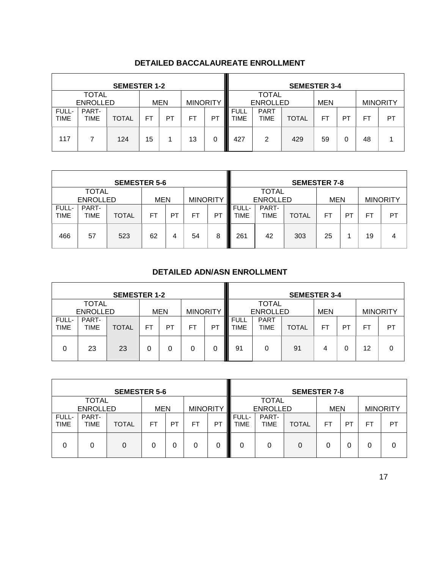|                      |                                                                  | <b>SEMESTER 1-2</b> |           |    |           |                |                            |                                               | <b>SEMESTER 3-4</b> |    |    |           |                 |  |  |
|----------------------|------------------------------------------------------------------|---------------------|-----------|----|-----------|----------------|----------------------------|-----------------------------------------------|---------------------|----|----|-----------|-----------------|--|--|
|                      | <b>TOTAL</b><br><b>ENROLLED</b><br><b>MINORITY</b><br><b>MEN</b> |                     |           |    |           |                |                            | <b>TOTAL</b><br><b>ENROLLED</b><br><b>MEN</b> |                     |    |    |           | <b>MINORITY</b> |  |  |
| FULL-<br><b>TIME</b> | PART-<br><b>TIME</b>                                             | <b>TOTAL</b>        | <b>FT</b> | PT | <b>FT</b> | P <sub>1</sub> | <b>FULL</b><br><b>TIME</b> | <b>PART</b><br>TIME                           | <b>TOTAL</b>        | FT | PT | <b>FT</b> | PT              |  |  |
| 117                  |                                                                  | 124                 | 15        |    | 13        | 0              | 427                        | 2                                             | 429                 | 59 | 0  | 48        |                 |  |  |

#### **DETAILED BACCALAUREATE ENROLLMENT**

|                      |                      | <b>SEMESTER 5-6</b> |            |    |                 |         |               |                 | <b>SEMESTER 7-8</b> |            |    |                 |    |
|----------------------|----------------------|---------------------|------------|----|-----------------|---------|---------------|-----------------|---------------------|------------|----|-----------------|----|
|                      | <b>TOTAL</b>         |                     |            |    | <b>TOTAL</b>    |         |               |                 |                     |            |    |                 |    |
|                      | <b>ENROLLED</b>      |                     | <b>MEN</b> |    | <b>MINORITY</b> |         |               | <b>ENROLLED</b> |                     | <b>MEN</b> |    | <b>MINORITY</b> |    |
| FULL-<br><b>TIME</b> | PART-<br><b>TIME</b> | <b>TOTAL</b>        | FT         | PT | FT              | I<br>РT | FULL-<br>TIME | PART-<br>TIME   | <b>TOTAL</b>        | FT         | P1 | F1              | PT |
| 466                  | 57                   | 523                 | 62         | 4  | 54              | 8       | 261           | 42              | 303                 | 25         |    | 19              | 4  |

#### **DETAILED ADN/ASN ENROLLMENT**

|                      |                 | <b>SEMESTER 1-2</b> |    |            |    |                 | <b>SEMESTER 3-4</b>        |                            |              |            |    |     |                 |  |  |
|----------------------|-----------------|---------------------|----|------------|----|-----------------|----------------------------|----------------------------|--------------|------------|----|-----|-----------------|--|--|
| <b>TOTAL</b>         |                 |                     |    |            |    |                 |                            | <b>TOTAL</b>               |              |            |    |     |                 |  |  |
|                      | <b>ENROLLED</b> |                     |    | <b>MEN</b> |    | <b>MINORITY</b> |                            | <b>ENROLLED</b>            |              | <b>MEN</b> |    |     | <b>MINORITY</b> |  |  |
| FULL-<br><b>TIME</b> | PART-<br>TIME   | <b>TOTAL</b>        | FT | PT         | FT | P1              | <b>FULL</b><br><b>TIME</b> | <b>PART</b><br><b>TIME</b> | <b>TOTAL</b> | FT         | PT | FT. | PT              |  |  |
| 0                    | 23              | 23                  |    | 0          |    | 0               | 91                         |                            | 91           | 4          | 0  | 12  | 0               |  |  |

|                      |                                 | <b>SEMESTER 5-6</b> |            |    |                 |         |               |                                               | <b>SEMESTER 7-8</b> |   |    |                 |    |
|----------------------|---------------------------------|---------------------|------------|----|-----------------|---------|---------------|-----------------------------------------------|---------------------|---|----|-----------------|----|
|                      | <b>TOTAL</b><br><b>ENROLLED</b> |                     | <b>MEN</b> |    | <b>MINORITY</b> |         |               | <b>TOTAL</b><br><b>ENROLLED</b><br><b>MEN</b> |                     |   |    | <b>MINORITY</b> |    |
| FULL-<br><b>TIME</b> | PART-<br>TIME                   | <b>TOTAL</b>        | FT         | PT | FT              | РT<br>Ш | FULL-<br>TIME | PART-<br><b>TIME</b><br><b>TOTAL</b>          |                     |   | PT | FT.             | PT |
| 0                    | 0                               | 0                   |            |    | 0               | I<br>0  | 0             | 0                                             | 0                   | 0 | 0  |                 | 0  |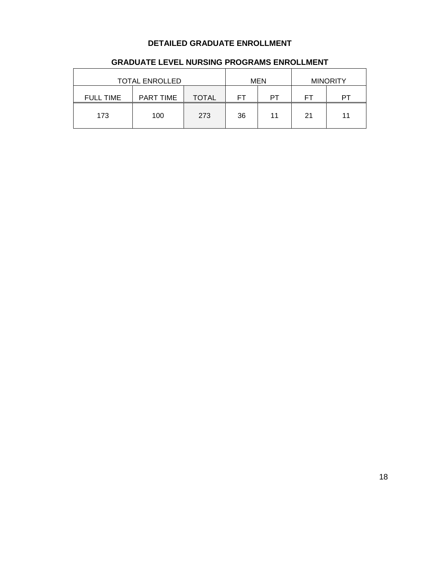#### **DETAILED GRADUATE ENROLLMENT**

|                  | <b>TOTAL ENROLLED</b><br><b>MEN</b> |       |    |    |          | <b>MINORITY</b> |
|------------------|-------------------------------------|-------|----|----|----------|-----------------|
| <b>FULL TIME</b> | <b>PART TIME</b>                    | TOTAL | FТ | PТ | __<br>ΗI |                 |
| 173              | 100                                 | 273   | 36 | 11 | 21       | 11              |

#### **GRADUATE LEVEL NURSING PROGRAMS ENROLLMENT**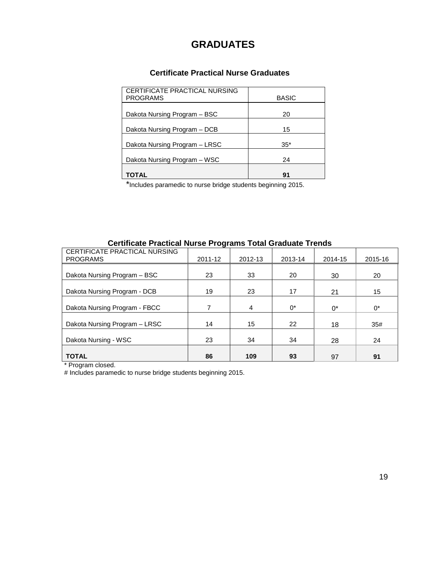# **GRADUATES**

#### **Certificate Practical Nurse Graduates**

| CERTIFICATE PRACTICAL NURSING<br><b>PROGRAMS</b> | <b>BASIC</b> |
|--------------------------------------------------|--------------|
| Dakota Nursing Program - BSC                     | 20           |
| Dakota Nursing Program - DCB                     | 15           |
| Dakota Nursing Program - LRSC                    | $35*$        |
| Dakota Nursing Program – WSC                     | 24           |
| TOTAL                                            | 91           |

\*Includes paramedic to nurse bridge students beginning 2015.

#### **Certificate Practical Nurse Programs Total Graduate Trends**

| CERTIFICATE PRACTICAL NURSING<br><b>PROGRAMS</b> | 2011-12 | 2012-13 | 2013-14 | 2014-15 | 2015-16 |
|--------------------------------------------------|---------|---------|---------|---------|---------|
| Dakota Nursing Program - BSC                     | 23      | 33      | 20      | 30      | 20      |
| Dakota Nursing Program - DCB                     | 19      | 23      | 17      | 21      | 15      |
| Dakota Nursing Program - FBCC                    | 7       | 4       | $0^*$   | $0^*$   | $0^*$   |
| Dakota Nursing Program - LRSC                    | 14      | 15      | 22      | 18      | 35#     |
| Dakota Nursing - WSC                             | 23      | 34      | 34      | 28      | 24      |
| <b>TOTAL</b>                                     | 86      | 109     | 93      | 97      | 91      |

\* Program closed.

# Includes paramedic to nurse bridge students beginning 2015.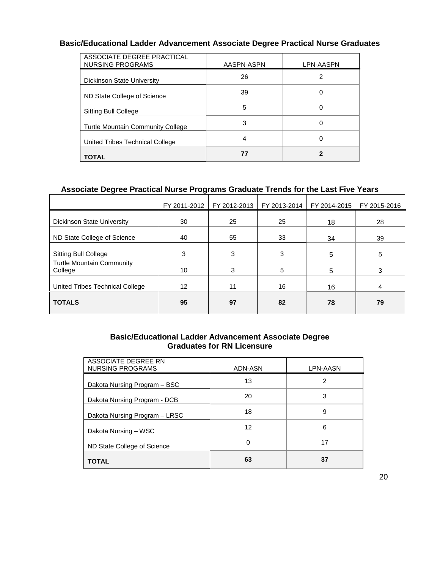#### **Basic/Educational Ladder Advancement Associate Degree Practical Nurse Graduates**

| ASSOCIATE DEGREE PRACTICAL<br>NURSING PROGRAMS | AASPN-ASPN | LPN-AASPN |
|------------------------------------------------|------------|-----------|
| Dickinson State University                     | 26         |           |
| ND State College of Science                    | 39         | 0         |
| <b>Sitting Bull College</b>                    | 5          | 0         |
| <b>Turtle Mountain Community College</b>       | 3          | 0         |
| United Tribes Technical College                | 4          | 0         |
| TOTAL                                          | 77         |           |

#### **Associate Degree Practical Nurse Programs Graduate Trends for the Last Five Years**

| FY 2011-2012 | FY 2012-2013 | FY 2013-2014 | FY 2014-2015 | FY 2015-2016 |
|--------------|--------------|--------------|--------------|--------------|
| 30           | 25           | 25           | 18           | 28           |
| 40           | 55           | 33           | 34           | 39           |
| 3            | 3            | 3            | 5            | 5            |
| 10           | 3            | 5            | 5            | 3            |
| 12           | 11           | 16           | 16           | 4            |
| 95           | 97           | 82           | 78           | 79           |
|              |              |              |              |              |

#### **Basic/Educational Ladder Advancement Associate Degree Graduates for RN Licensure**

| ASSOCIATE DEGREE RN<br>NURSING PROGRAMS | ADN-ASN | LPN-AASN |
|-----------------------------------------|---------|----------|
| Dakota Nursing Program – BSC            | 13      | 2        |
| Dakota Nursing Program - DCB            | 20      | 3        |
| Dakota Nursing Program - LRSC           | 18      | 9        |
| Dakota Nursing - WSC                    | 12      | 6        |
| ND State College of Science             | 0       | 17       |
| <b>TOTAL</b>                            | 63      | 37       |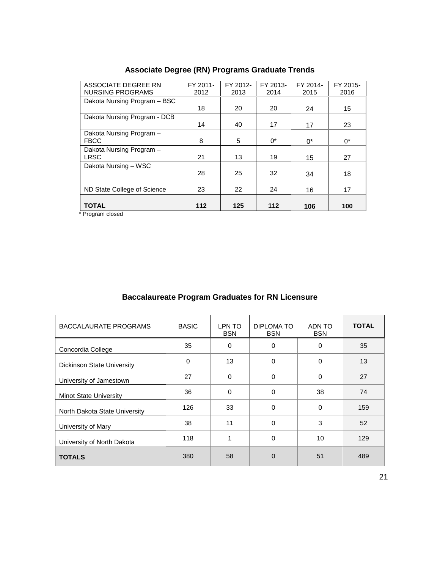| ASSOCIATE DEGREE RN          | FY 2011- | FY 2012- | FY 2013- | FY 2014- | FY 2015- |
|------------------------------|----------|----------|----------|----------|----------|
| NURSING PROGRAMS             | 2012     | 2013     | 2014     | 2015     | 2016     |
| Dakota Nursing Program - BSC |          |          |          |          |          |
|                              | 18       | 20       | 20       | 24       | 15       |
| Dakota Nursing Program - DCB |          |          |          |          |          |
|                              | 14       | 40       | 17       | 17       | 23       |
| Dakota Nursing Program -     |          |          |          |          |          |
| <b>FBCC</b>                  | 8        | 5        | $0^*$    | $0^*$    | $0^*$    |
| Dakota Nursing Program -     |          |          |          |          |          |
| <b>LRSC</b>                  | 21       | 13       | 19       | 15       | 27       |
| Dakota Nursing - WSC         |          |          |          |          |          |
|                              | 28       | 25       | 32       | 34       | 18       |
|                              |          |          |          |          |          |
| ND State College of Science  | 23       | 22       | 24       | 16       | 17       |
|                              |          |          |          |          |          |
| <b>TOTAL</b>                 | 112      | 125      | $112$    | 106      | 100      |

## **Associate Degree (RN) Programs Graduate Trends**

\* Program closed

#### **Baccalaureate Program Graduates for RN Licensure**

| BACCALAURATE PROGRAMS         | <b>BASIC</b> | LPN TO<br><b>BSN</b> | DIPLOMA TO<br><b>BSN</b> | ADN TO<br><b>BSN</b> | <b>TOTAL</b> |
|-------------------------------|--------------|----------------------|--------------------------|----------------------|--------------|
| Concordia College             | 35           | $\Omega$             | 0                        | 0                    | 35           |
| Dickinson State University    | 0            | 13                   | 0                        | 0                    | 13           |
| University of Jamestown       | 27           | $\Omega$             | $\Omega$                 | 0                    | 27           |
| <b>Minot State University</b> | 36           | $\Omega$             | 0                        | 38                   | 74           |
| North Dakota State University | 126          | 33                   | $\Omega$                 | 0                    | 159          |
| University of Mary            | 38           | 11                   | 0                        | 3                    | 52           |
| University of North Dakota    | 118          | 1                    | $\Omega$                 | 10                   | 129          |
| <b>TOTALS</b>                 | 380          | 58                   | $\Omega$                 | 51                   | 489          |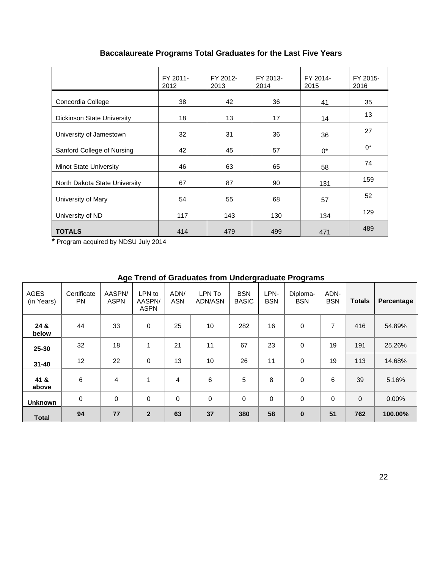## **Baccalaureate Programs Total Graduates for the Last Five Years**

|                               | FY 2011-<br>2012 | FY 2012-<br>2013 | FY 2013-<br>2014 | FY 2014-<br>2015 | FY 2015-<br>2016 |
|-------------------------------|------------------|------------------|------------------|------------------|------------------|
| Concordia College             | 38               | 42               | 36               | 41               | 35               |
| Dickinson State University    | 18               | 13               | 17               | 14               | 13               |
| University of Jamestown       | 32               | 31               | 36               | 36               | 27               |
| Sanford College of Nursing    | 42               | 45               | 57               | $0^*$            | $0^*$            |
| <b>Minot State University</b> | 46               | 63               | 65               | 58               | 74               |
| North Dakota State University | 67               | 87               | 90               | 131              | 159              |
| University of Mary            | 54               | 55               | 68               | 57               | 52               |
| University of ND              | 117              | 143              | 130              | 134              | 129              |
| <b>TOTALS</b>                 | 414              | 479              | 499              | 471              | 489              |

**\*** Program acquired by NDSU July 2014

|                    |                          |                       |                                 |                    | Age Trend of Graduates from Undergraduate Programs |                            |                    |                        |                    |               |            |
|--------------------|--------------------------|-----------------------|---------------------------------|--------------------|----------------------------------------------------|----------------------------|--------------------|------------------------|--------------------|---------------|------------|
| AGES<br>(in Years) | Certificate<br><b>PN</b> | AASPN/<br><b>ASPN</b> | LPN to<br>AASPN/<br><b>ASPN</b> | ADN/<br><b>ASN</b> | LPN To<br><b>ADN/ASN</b>                           | <b>BSN</b><br><b>BASIC</b> | LPN-<br><b>BSN</b> | Diploma-<br><b>BSN</b> | ADN-<br><b>BSN</b> | <b>Totals</b> | Percentage |
| 24 &<br>below      | 44                       | 33                    | $\mathbf 0$                     | 25                 | 10                                                 | 282                        | 16                 | $\mathbf 0$            | 7                  | 416           | 54.89%     |
| 25-30              | 32                       | 18                    | 1                               | 21                 | 11                                                 | 67                         | 23                 | $\Omega$               | 19                 | 191           | 25.26%     |
| $31 - 40$          | 12                       | 22                    | 0                               | 13                 | 10 <sup>°</sup>                                    | 26                         | 11                 | 0                      | 19                 | 113           | 14.68%     |
| 41 &<br>above      | 6                        | 4                     | 1                               | 4                  | 6                                                  | 5                          | 8                  | 0                      | 6                  | 39            | 5.16%      |
| <b>Unknown</b>     | 0                        | $\mathbf 0$           | $\mathbf 0$                     | $\Omega$           | 0                                                  | $\Omega$                   | $\Omega$           | $\Omega$               | $\Omega$           | $\mathbf{0}$  | 0.00%      |
| <b>Total</b>       | 94                       | 77                    | $\overline{2}$                  | 63                 | 37                                                 | 380                        | 58                 | $\bf{0}$               | 51                 | 762           | 100.00%    |

# **Age Trend of Graduates from Undergraduate Programs**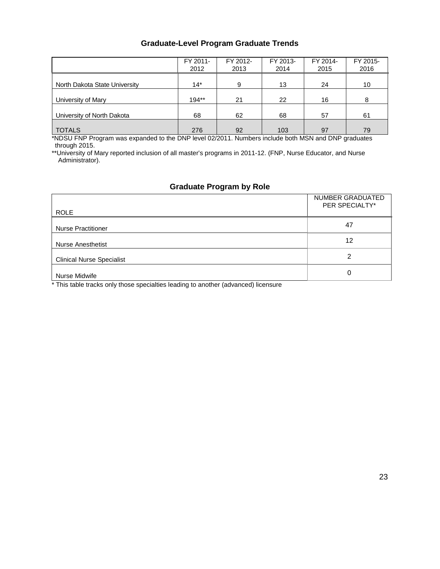#### **Graduate-Level Program Graduate Trends**

|                               | FY 2011-<br>2012 | FY 2012-<br>2013 | FY 2013-<br>2014 | FY 2014-<br>2015 | FY 2015-<br>2016 |
|-------------------------------|------------------|------------------|------------------|------------------|------------------|
| North Dakota State University | $14*$            | 9                | 13               | 24               | 10               |
| University of Mary            | $194**$          | 21               | 22               | 16               | 8                |
| University of North Dakota    | 68               | 62               | 68               | 57               | 61               |
| <b>TOTALS</b>                 | 276              | 92               | 103              | 97               | 79               |

\*NDSU FNP Program was expanded to the DNP level 02/2011. Numbers include both MSN and DNP graduates through 2015.

\*\*University of Mary reported inclusion of all master's programs in 2011-12. (FNP, Nurse Educator, and Nurse Administrator).

#### **Graduate Program by Role**

| <b>ROLE</b>                      | NUMBER GRADUATED<br>PER SPECIALTY* |
|----------------------------------|------------------------------------|
| <b>Nurse Practitioner</b>        | 47                                 |
| <b>Nurse Anesthetist</b>         | 12                                 |
| <b>Clinical Nurse Specialist</b> | 2                                  |
| Nurse Midwife                    | 0                                  |

\* This table tracks only those specialties leading to another (advanced) licensure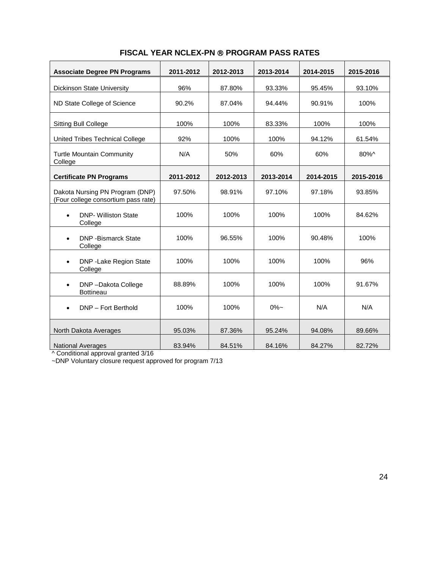| <b>Associate Degree PN Programs</b>                                    | 2011-2012 | 2012-2013 | 2013-2014 | 2014-2015 | 2015-2016 |
|------------------------------------------------------------------------|-----------|-----------|-----------|-----------|-----------|
| Dickinson State University                                             | 96%       | 87.80%    | 93.33%    | 95.45%    | 93.10%    |
| ND State College of Science                                            | 90.2%     | 87.04%    | 94.44%    | 90.91%    | 100%      |
| Sitting Bull College                                                   | 100%      | 100%      | 83.33%    | 100%      | 100%      |
| United Tribes Technical College                                        | 92%       | 100%      | 100%      | 94.12%    | 61.54%    |
| <b>Turtle Mountain Community</b><br>College                            | N/A       | 50%       | 60%       | 60%       | 80%^      |
| <b>Certificate PN Programs</b>                                         | 2011-2012 | 2012-2013 | 2013-2014 | 2014-2015 | 2015-2016 |
| Dakota Nursing PN Program (DNP)<br>(Four college consortium pass rate) | 97.50%    | 98.91%    | 97.10%    | 97.18%    | 93.85%    |
| <b>DNP- Williston State</b><br>College                                 | 100%      | 100%      | 100%      | 100%      | 84.62%    |
| <b>DNP</b> - Bismarck State<br>College                                 | 100%      | 96.55%    | 100%      | 90.48%    | 100%      |
| DNP - Lake Region State<br>College                                     | 100%      | 100%      | 100%      | 100%      | 96%       |
| DNP-Dakota College<br><b>Bottineau</b>                                 | 88.89%    | 100%      | 100%      | 100%      | 91.67%    |
| DNP - Fort Berthold                                                    | 100%      | 100%      | $0\% -$   | N/A       | N/A       |
| North Dakota Averages                                                  | 95.03%    | 87.36%    | 95.24%    | 94.08%    | 89.66%    |
| <b>National Averages</b>                                               | 83.94%    | 84.51%    | 84.16%    | 84.27%    | 82.72%    |

#### **FISCAL YEAR NCLEX-PN ® PROGRAM PASS RATES**

^ Conditional approval granted 3/16

~DNP Voluntary closure request approved for program 7/13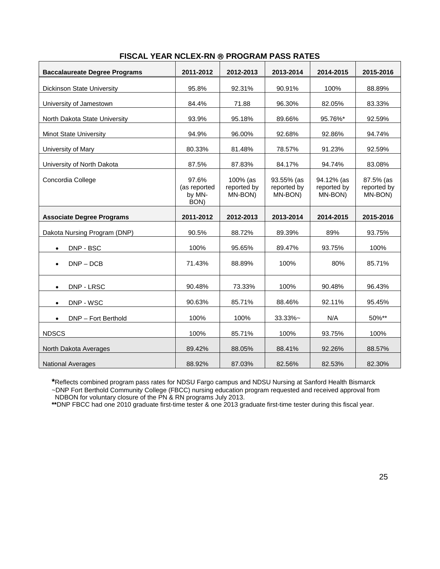| <b>Baccalaureate Degree Programs</b> | 2011-2012                               | 2012-2013                          | 2013-2014                            | 2014-2015                            | 2015-2016                           |
|--------------------------------------|-----------------------------------------|------------------------------------|--------------------------------------|--------------------------------------|-------------------------------------|
| <b>Dickinson State University</b>    | 95.8%                                   | 92.31%                             | 90.91%                               | 100%                                 | 88.89%                              |
| University of Jamestown              | 84.4%                                   | 71.88                              | 96.30%                               | 82.05%                               | 83.33%                              |
| North Dakota State University        | 93.9%                                   | 95.18%                             | 89.66%                               | 95.76%*                              | 92.59%                              |
| <b>Minot State University</b>        | 94.9%                                   | 96.00%                             | 92.68%                               | 92.86%                               | 94.74%                              |
| University of Mary                   | 80.33%                                  | 81.48%                             | 78.57%                               | 91.23%                               | 92.59%                              |
| University of North Dakota           | 87.5%                                   | 87.83%                             | 84.17%                               | 94.74%                               | 83.08%                              |
| Concordia College                    | 97.6%<br>(as reported<br>by MN-<br>BON) | 100% (as<br>reported by<br>MN-BON) | 93.55% (as<br>reported by<br>MN-BON) | 94.12% (as<br>reported by<br>MN-BON) | 87.5% (as<br>reported by<br>MN-BON) |
| <b>Associate Degree Programs</b>     | 2011-2012                               | 2012-2013                          | 2013-2014                            | 2014-2015                            | 2015-2016                           |
| Dakota Nursing Program (DNP)         | 90.5%                                   | 88.72%                             | 89.39%                               | 89%                                  | 93.75%                              |
| DNP - BSC<br>$\bullet$               | 100%                                    | 95.65%                             | 89.47%                               | 93.75%                               | 100%                                |
| $DNP - DCB$                          | 71.43%                                  | 88.89%                             | 100%                                 | 80%                                  | 85.71%                              |
| DNP - LRSC<br>$\bullet$              | 90.48%                                  | 73.33%                             | 100%                                 | 90.48%                               | 96.43%                              |
| DNP - WSC                            | 90.63%                                  | 85.71%                             | 88.46%                               | 92.11%                               | 95.45%                              |
| DNP - Fort Berthold<br>$\bullet$     | 100%                                    | 100%                               | 33.33%~                              | N/A                                  | 50%**                               |
| <b>NDSCS</b>                         | 100%                                    | 85.71%                             | 100%                                 | 93.75%                               | 100%                                |
| North Dakota Averages                | 89.42%                                  | 88.05%                             | 88.41%                               | 92.26%                               | 88.57%                              |
| <b>National Averages</b>             | 88.92%                                  | 87.03%                             | 82.56%                               | 82.53%                               | 82.30%                              |

#### **FISCAL YEAR NCLEX-RN PROGRAM PASS RATES**

**\***Reflects combined program pass rates for NDSU Fargo campus and NDSU Nursing at Sanford Health Bismarck ~DNP Fort Berthold Community College (FBCC) nursing education program requested and received approval from NDBON for voluntary closure of the PN & RN programs July 2013.

**\*\***DNP FBCC had one 2010 graduate first-time tester & one 2013 graduate first-time tester during this fiscal year.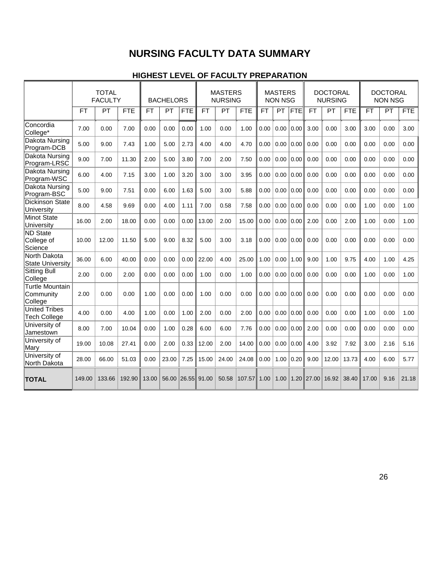# **NURSING FACULTY DATA SUMMARY**

#### **HIGHEST LEVEL OF FACULTY PREPARATION**

|                                                | <b>TOTAL</b><br><b>FACULTY</b> |           | <b>MASTERS</b><br><b>NURSING</b><br><b>BACHELORS</b> |           | <b>MASTERS</b><br><b>NON NSG</b> |            | <b>DOCTORAL</b><br><b>NURSING</b> |       | <b>DOCTORAL</b><br><b>NON NSG</b> |           |      |            |              |           |            |           |      |            |
|------------------------------------------------|--------------------------------|-----------|------------------------------------------------------|-----------|----------------------------------|------------|-----------------------------------|-------|-----------------------------------|-----------|------|------------|--------------|-----------|------------|-----------|------|------------|
|                                                | <b>FT</b>                      | <b>PT</b> | <b>FTE</b>                                           | <b>FT</b> | PT                               | <b>FTE</b> | <b>FT</b>                         | PT    | <b>FTE</b>                        | <b>FT</b> | PT   | <b>FTE</b> | <b>FT</b>    | <b>PT</b> | <b>FTE</b> | <b>FT</b> | PT   | <b>FTE</b> |
| Concordia<br>College*                          | 7.00                           | 0.00      | 7.00                                                 | 0.00      | 0.00                             | 0.00       | 1.00                              | 0.00  | 1.00                              | 0.00      | 0.00 | 0.00       | 3.00         | 0.00      | 3.00       | 3.00      | 0.00 | 3.00       |
| Dakota Nursing<br>Program-DCB                  | 5.00                           | 9.00      | 7.43                                                 | 1.00      | 5.00                             | 2.73       | 4.00                              | 4.00  | 4.70                              | 0.00      | 0.00 | 0.00       | 0.00         | 0.00      | 0.00       | 0.00      | 0.00 | 0.00       |
| Dakota Nursing<br>Program-LRSC                 | 9.00                           | 7.00      | 11.30                                                | 2.00      | 5.00                             | 3.80       | 7.00                              | 2.00  | 7.50                              | 0.00      | 0.00 | 0.00       | 0.00         | 0.00      | 0.00       | 0.00      | 0.00 | 0.00       |
| <b>Dakota Nursing</b><br>Program-WSC           | 6.00                           | 4.00      | 7.15                                                 | 3.00      | 1.00                             | 3.20       | 3.00                              | 3.00  | 3.95                              | 0.00      | 0.00 | 0.00       | 0.00         | 0.00      | 0.00       | 0.00      | 0.00 | 0.00       |
| Dakota Nursing<br>Program-BSC                  | 5.00                           | 9.00      | 7.51                                                 | 0.00      | 6.00                             | 1.63       | 5.00                              | 3.00  | 5.88                              | 0.00      | 0.00 | 0.00       | 0.00         | 0.00      | 0.00       | 0.00      | 0.00 | 0.00       |
| <b>Dickinson State</b><br>University           | 8.00                           | 4.58      | 9.69                                                 | 0.00      | 4.00                             | 1.11       | 7.00                              | 0.58  | 7.58                              | 0.00      | 0.00 | 0.00       | 0.00         | 0.00      | 0.00       | 1.00      | 0.00 | 1.00       |
| <b>Minot State</b><br>University               | 16.00                          | 2.00      | 18.00                                                | 0.00      | 0.00                             | 0.00       | 13.00                             | 2.00  | 15.00                             | 0.00      | 0.00 | 0.00       | 2.00         | 0.00      | 2.00       | 1.00      | 0.00 | 1.00       |
| <b>ND</b> State<br>College of<br>Science       | 10.00                          | 12.00     | 11.50                                                | 5.00      | 9.00                             | 8.32       | 5.00                              | 3.00  | 3.18                              | 0.00      | 0.00 | 0.00       | 0.00         | 0.00      | 0.00       | 0.00      | 0.00 | 0.00       |
| North Dakota<br><b>State University</b>        | 36.00                          | 6.00      | 40.00                                                | 0.00      | 0.00                             | 0.00       | 22.00                             | 4.00  | 25.00                             | 1.00      | 0.00 | 1.00       | 9.00         | 1.00      | 9.75       | 4.00      | 1.00 | 4.25       |
| <b>Sitting Bull</b><br>College                 | 2.00                           | 0.00      | 2.00                                                 | 0.00      | 0.00                             | 0.00       | 1.00                              | 0.00  | 1.00                              | 0.00      | 0.00 | 0.00       | 0.00         | 0.00      | 0.00       | 1.00      | 0.00 | 1.00       |
| <b>Turtle Mountain</b><br>Community<br>College | 2.00                           | 0.00      | 0.00                                                 | 1.00      | 0.00                             | 0.00       | 1.00                              | 0.00  | 0.00                              | 0.00      | 0.00 | 0.00       | 0.00         | 0.00      | 0.00       | 0.00      | 0.00 | 0.00       |
| <b>United Tribes</b><br><b>Tech College</b>    | 4.00                           | 0.00      | 4.00                                                 | 1.00      | 0.00                             | 1.00       | 2.00                              | 0.00  | 2.00                              | 0.00      | 0.00 | 0.00       | 0.00         | 0.00      | 0.00       | 1.00      | 0.00 | 1.00       |
| University of<br>Jamestown                     | 8.00                           | 7.00      | 10.04                                                | 0.00      | 1.00                             | 0.28       | 6.00                              | 6.00  | 7.76                              | 0.00      | 0.00 | 0.00       | 2.00         | 0.00      | 0.00       | 0.00      | 0.00 | 0.00       |
| University of<br>Mary                          | 19.00                          | 10.08     | 27.41                                                | 0.00      | 2.00                             | 0.33       | 12.00                             | 2.00  | 14.00                             | 0.00      | 0.00 | 0.00       | 4.00         | 3.92      | 7.92       | 3.00      | 2.16 | 5.16       |
| University of<br>North Dakota                  | 28.00                          | 66.00     | 51.03                                                | 0.00      | 23.00                            | 7.25       | 15.00                             | 24.00 | 24.08                             | 0.00      | 1.00 | 0.20       | 9.00         | 12.00     | 13.73      | 4.00      | 6.00 | 5.77       |
| <b>TOTAL</b>                                   | 149.00                         | 133.66    | 192.90                                               | 13.00     | 56.00                            | 26.55      | 91.00                             | 50.58 | 107.57                            | 1.00      | 1.00 |            | $1.20$ 27.00 | 16.92     | 38.40      | 17.00     | 9.16 | 21.18      |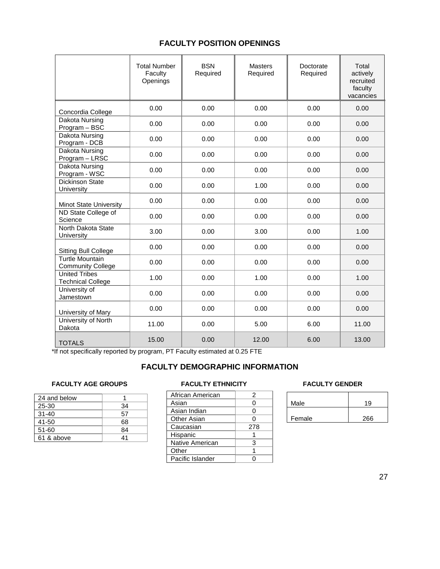#### **FACULTY POSITION OPENINGS**

|                                                    | <b>Total Number</b><br>Faculty<br>Openings | <b>BSN</b><br>Required | <b>Masters</b><br>Required | Doctorate<br>Required | Total<br>actively<br>recruited<br>faculty<br>vacancies |
|----------------------------------------------------|--------------------------------------------|------------------------|----------------------------|-----------------------|--------------------------------------------------------|
| Concordia College                                  | 0.00                                       | 0.00                   | 0.00                       | 0.00                  | 0.00                                                   |
| Dakota Nursing<br>Program - BSC                    | 0.00                                       | 0.00                   | 0.00                       | 0.00                  | 0.00                                                   |
| Dakota Nursing<br>Program - DCB                    | 0.00                                       | 0.00                   | 0.00                       | 0.00                  | 0.00                                                   |
| Dakota Nursing<br>Program - LRSC                   | 0.00                                       | 0.00                   | 0.00                       | 0.00                  | 0.00                                                   |
| Dakota Nursing<br>Program - WSC                    | 0.00                                       | 0.00                   | 0.00                       | 0.00                  | 0.00                                                   |
| Dickinson State<br>University                      | 0.00                                       | 0.00                   | 1.00                       | 0.00                  | 0.00                                                   |
| Minot State University                             | 0.00                                       | 0.00                   | 0.00                       | 0.00                  | 0.00                                                   |
| ND State College of<br>Science                     | 0.00                                       | 0.00                   | 0.00                       | 0.00                  | 0.00                                                   |
| North Dakota State<br>University                   | 3.00                                       | 0.00                   | 3.00                       | 0.00                  | 1.00                                                   |
| <b>Sitting Bull College</b>                        | 0.00                                       | 0.00                   | 0.00                       | 0.00                  | 0.00                                                   |
| <b>Turtle Mountain</b><br><b>Community College</b> | 0.00                                       | 0.00                   | 0.00                       | 0.00                  | 0.00                                                   |
| <b>United Tribes</b><br><b>Technical College</b>   | 1.00                                       | 0.00                   | 1.00                       | 0.00                  | 1.00                                                   |
| University of<br>Jamestown                         | 0.00                                       | 0.00                   | 0.00                       | 0.00                  | 0.00                                                   |
| University of Mary                                 | 0.00                                       | 0.00                   | 0.00                       | 0.00                  | 0.00                                                   |
| University of North<br>Dakota                      | 11.00                                      | 0.00                   | 5.00                       | 6.00                  | 11.00                                                  |
| <b>TOTALS</b>                                      | 15.00                                      | 0.00                   | 12.00                      | 6.00                  | 13.00                                                  |

\*If not specifically reported by program, PT Faculty estimated at 0.25 FTE

#### **FACULTY DEMOGRAPHIC INFORMATION**

#### FACULTY AGE GROUPS **FACULTY ETHNICITY FACULTY GENDER**

| 24 and below |    |
|--------------|----|
| 25-30        | 34 |
| $31 - 40$    | 57 |
| 41-50        | 68 |
| $51 - 60$    | 84 |
| 61 & above   | 41 |

| 2   |
|-----|
| ი   |
| O   |
| O   |
| 278 |
|     |
| 3   |
|     |
|     |
|     |

| Male   | 19  |
|--------|-----|
| Female | 266 |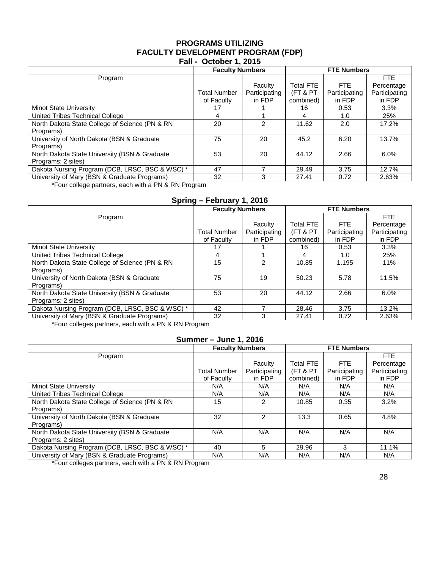#### **PROGRAMS UTILIZING FACULTY DEVELOPMENT PROGRAM (FDP) Fall - October 1, 2015**

| <b></b>                                         |                        |                    |                  |               |               |  |  |  |  |
|-------------------------------------------------|------------------------|--------------------|------------------|---------------|---------------|--|--|--|--|
|                                                 | <b>Faculty Numbers</b> | <b>FTE Numbers</b> |                  |               |               |  |  |  |  |
| Program                                         |                        |                    |                  |               | <b>FTE</b>    |  |  |  |  |
|                                                 |                        | Faculty            | <b>Total FTE</b> | <b>FTE</b>    | Percentage    |  |  |  |  |
|                                                 | <b>Total Number</b>    | Participating      | (FT & PT         | Participating | Participating |  |  |  |  |
|                                                 | of Faculty             | in FDP             | combined)        | in FDP        | in FDP        |  |  |  |  |
| <b>Minot State University</b>                   | 17                     |                    | 16               | 0.53          | 3.3%          |  |  |  |  |
| United Tribes Technical College                 | 4                      |                    | 4                | 1.0           | 25%           |  |  |  |  |
| North Dakota State College of Science (PN & RN  | 20                     | $\mathcal{P}$      | 11.62            | 2.0           | 17.2%         |  |  |  |  |
| Programs)                                       |                        |                    |                  |               |               |  |  |  |  |
| University of North Dakota (BSN & Graduate      | 75                     | 20                 | 45.2             | 6.20          | 13.7%         |  |  |  |  |
| Programs)                                       |                        |                    |                  |               |               |  |  |  |  |
| North Dakota State University (BSN & Graduate   | 53                     | 20                 | 44.12            | 2.66          | 6.0%          |  |  |  |  |
| Programs; 2 sites)                              |                        |                    |                  |               |               |  |  |  |  |
| Dakota Nursing Program (DCB, LRSC, BSC & WSC) * | 47                     |                    | 29.49            | 3.75          | 12.7%         |  |  |  |  |
| University of Mary (BSN & Graduate Programs)    | 32                     | 3                  | 27.41            | 0.72          | 2.63%         |  |  |  |  |

\*Four college partners, each with a PN & RN Program

### **Spring – February 1, 2016**

|                                                 | <b>Faculty Numbers</b> |               | <b>FTE Numbers</b>  |               |               |  |
|-------------------------------------------------|------------------------|---------------|---------------------|---------------|---------------|--|
| Program                                         |                        |               |                     |               | <b>FTE</b>    |  |
|                                                 |                        | Faculty       | <b>Total FTE</b>    | FTE.          | Percentage    |  |
|                                                 | Total Number           | Participating | <b>(FT &amp; PT</b> | Participating | Participating |  |
|                                                 | of Faculty             | in FDP        | combined)           | in FDP        | in FDP        |  |
| <b>Minot State University</b>                   | 17                     |               | 16                  | 0.53          | 3.3%          |  |
| United Tribes Technical College                 | 4                      |               | 4                   | 1.0           | 25%           |  |
| North Dakota State College of Science (PN & RN  | 15                     | $\mathcal{P}$ | 10.85               | 1.195         | 11%           |  |
| Programs)                                       |                        |               |                     |               |               |  |
| University of North Dakota (BSN & Graduate      | 75                     | 19            | 50.23               | 5.78          | 11.5%         |  |
| Programs)                                       |                        |               |                     |               |               |  |
| North Dakota State University (BSN & Graduate   | 53                     | 20            | 44.12               | 2.66          | 6.0%          |  |
| Programs; 2 sites)                              |                        |               |                     |               |               |  |
| Dakota Nursing Program (DCB, LRSC, BSC & WSC) * | 42                     |               | 28.46               | 3.75          | 13.2%         |  |
| University of Mary (BSN & Graduate Programs)    | 32                     | 3             | 27.41               | 0.72          | 2.63%         |  |

\*Four colleges partners, each with a PN & RN Program

#### **Summer – June 1, 2016**

|                                                 | <b>Faculty Numbers</b> |               | <b>FTE Numbers</b> |               |               |  |
|-------------------------------------------------|------------------------|---------------|--------------------|---------------|---------------|--|
| Program                                         |                        |               |                    |               | FTE.          |  |
|                                                 |                        | Faculty       | <b>Total FTE</b>   | FTE.          | Percentage    |  |
|                                                 | <b>Total Number</b>    | Participating | (FT & PT           | Participating | Participating |  |
|                                                 | of Faculty             | in FDP        | combined)          | in FDP        | in FDP        |  |
| <b>Minot State University</b>                   | N/A                    | N/A           | N/A                | N/A           | N/A           |  |
| United Tribes Technical College                 | N/A                    | N/A           | N/A                | N/A           | N/A           |  |
| North Dakota State College of Science (PN & RN  | 15                     | 2             | 10.85              | 0.35          | 3.2%          |  |
| Programs)                                       |                        |               |                    |               |               |  |
| University of North Dakota (BSN & Graduate      | 32                     | $\mathcal{P}$ | 13.3               | 0.65          | 4.8%          |  |
| Programs)                                       |                        |               |                    |               |               |  |
| North Dakota State University (BSN & Graduate   | N/A                    | N/A           | N/A                | N/A           | N/A           |  |
| Programs; 2 sites)                              |                        |               |                    |               |               |  |
| Dakota Nursing Program (DCB, LRSC, BSC & WSC) * | 40                     | 5             | 29.96              | 3             | 11.1%         |  |
| University of Mary (BSN & Graduate Programs)    | N/A                    | N/A           | N/A                | N/A           | N/A           |  |

\*Four colleges partners, each with a PN & RN Program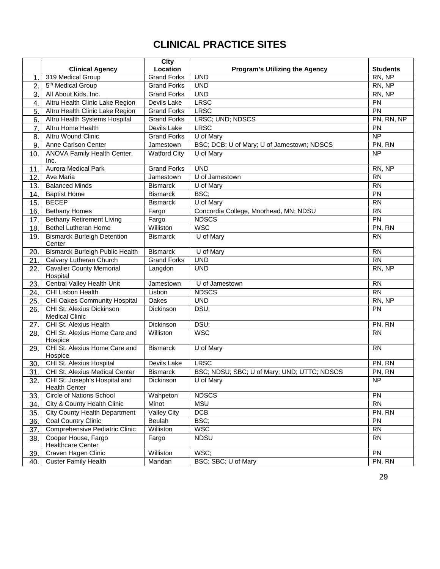# **CLINICAL PRACTICE SITES**

|     |                                                           | <b>City</b><br>Location           |                                                     |                           |
|-----|-----------------------------------------------------------|-----------------------------------|-----------------------------------------------------|---------------------------|
|     | <b>Clinical Agency</b><br>319 Medical Group               |                                   | <b>Program's Utilizing the Agency</b><br><b>UND</b> | <b>Students</b><br>RN, NP |
| 1.  |                                                           | <b>Grand Forks</b>                | <b>UND</b>                                          |                           |
| 2.  | 5 <sup>th</sup> Medical Group                             | <b>Grand Forks</b>                |                                                     | RN, NP                    |
| 3.  | All About Kids, Inc.                                      | <b>Grand Forks</b>                | <b>UND</b>                                          | RN, NP                    |
| 4.  | Altru Health Clinic Lake Region                           | Devils Lake<br><b>Grand Forks</b> | <b>LRSC</b>                                         | PN                        |
| 5.  | Altru Health Clinic Lake Region                           |                                   | <b>LRSC</b>                                         | PN                        |
| 6.  | Altru Health Systems Hospital                             | <b>Grand Forks</b>                | LRSC; UND; NDSCS                                    | PN, RN, NP                |
| 7.  | Altru Home Health                                         | Devils Lake                       | LRSC                                                | PN                        |
| 8.  | <b>Altru Wound Clinic</b>                                 | <b>Grand Forks</b>                | U of Mary                                           | <b>NP</b>                 |
| 9.  | Anne Carlson Center                                       | Jamestown                         | BSC; DCB; U of Mary; U of Jamestown; NDSCS          | PN, RN                    |
| 10. | ANOVA Family Health Center,<br>Inc.                       | <b>Watford City</b>               | U of Mary                                           | <b>NP</b>                 |
| 11. | <b>Aurora Medical Park</b>                                | <b>Grand Forks</b>                | <b>UND</b>                                          | RN, NP                    |
| 12. | Ave Maria                                                 | Jamestown                         | U of Jamestown                                      | <b>RN</b>                 |
| 13. | <b>Balanced Minds</b>                                     | <b>Bismarck</b>                   | U of Mary                                           | $\overline{RN}$           |
| 14. | <b>Baptist Home</b>                                       | <b>Bismarck</b>                   | BSC;                                                | PN                        |
| 15. | <b>BECEP</b>                                              | <b>Bismarck</b>                   | U of Mary                                           | <b>RN</b>                 |
| 16. | <b>Bethany Homes</b>                                      | Fargo                             | Concordia College, Moorhead, MN; NDSU               | <b>RN</b>                 |
| 17. | <b>Bethany Retirement Living</b>                          | Fargo                             | <b>NDSCS</b>                                        | $\overline{PN}$           |
| 18. | <b>Bethel Lutheran Home</b>                               | Williston                         | <b>WSC</b>                                          | PN, RN                    |
| 19. | <b>Bismarck Burleigh Detention</b><br>Center              | <b>Bismarck</b>                   | U of Mary                                           | <b>RN</b>                 |
| 20. | Bismarck Burleigh Public Health                           | <b>Bismarck</b>                   | U of Mary                                           | <b>RN</b>                 |
| 21. | Calvary Lutheran Church                                   | <b>Grand Forks</b>                | <b>UND</b>                                          | <b>RN</b>                 |
| 22. | <b>Cavalier County Memorial</b><br>Hospital               | Langdon                           | <b>UND</b>                                          | RN, NP                    |
| 23. | <b>Central Valley Health Unit</b>                         | Jamestown                         | U of Jamestown                                      | <b>RN</b>                 |
| 24. | CHI Lisbon Health                                         | Lisbon                            | <b>NDSCS</b>                                        | <b>RN</b>                 |
| 25. | <b>CHI Oakes Community Hospital</b>                       | Oakes                             | <b>UND</b>                                          | RN, NP                    |
| 26. | CHI St. Alexius Dickinson<br><b>Medical Clinic</b>        | Dickinson                         | DSU;                                                | PN                        |
| 27. | CHI St. Alexius Health                                    | Dickinson                         | DSU;                                                | PN, RN                    |
| 28. | CHI St. Alexius Home Care and                             | Williston                         | <b>WSC</b>                                          | <b>RN</b>                 |
|     | Hospice                                                   |                                   |                                                     |                           |
| 29. | CHI St. Alexius Home Care and<br>Hospice                  | <b>Bismarck</b>                   | U of Mary                                           | <b>RN</b>                 |
| 30. | CHI St. Alexius Hospital                                  | Devils Lake                       | <b>LRSC</b>                                         | PN, RN                    |
| 31. | CHI St. Alexius Medical Center                            | <b>Bismarck</b>                   | BSC; NDSU; SBC; U of Mary; UND; UTTC; NDSCS         | PN, RN                    |
|     | 32. CHI St. Joseph's Hospital and<br><b>Health Center</b> | Dickinson                         | $\overline{U}$ of Mary                              | NP                        |
| 33. | <b>Circle of Nations School</b>                           | Wahpeton                          | <b>NDSCS</b>                                        | PN                        |
| 34. | City & County Health Clinic                               | Minot                             | <b>MSU</b>                                          | <b>RN</b>                 |
| 35. | <b>City County Health Department</b>                      | <b>Valley City</b>                | <b>DCB</b>                                          | PN, RN                    |
| 36. | <b>Coal Country Clinic</b>                                | Beulah                            | BSC;                                                | <b>PN</b>                 |
| 37. | Comprehensive Pediatric Clinic                            | Williston                         | <b>WSC</b>                                          | <b>RN</b>                 |
| 38. | Cooper House, Fargo<br><b>Healthcare Center</b>           | Fargo                             | <b>NDSU</b>                                         | <b>RN</b>                 |
| 39. | Craven Hagen Clinic                                       | Williston                         | WSC;                                                | <b>PN</b>                 |
| 40. | <b>Custer Family Health</b>                               | Mandan                            | BSC; SBC; U of Mary                                 | PN, RN                    |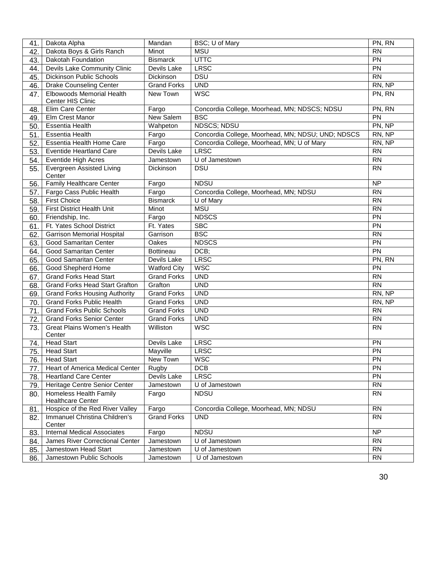| 41. | Dakota Alpha                                       | Mandan             | BSC; U of Mary                                    | PN, RN          |
|-----|----------------------------------------------------|--------------------|---------------------------------------------------|-----------------|
| 42. | Dakota Boys & Girls Ranch                          | Minot              | <b>MSU</b>                                        |                 |
| 43. | Dakotah Foundation                                 | <b>Bismarck</b>    | <b>UTTC</b>                                       |                 |
| 44. | Devils Lake Community Clinic                       | Devils Lake        | <b>LRSC</b>                                       | $\overline{PN}$ |
| 45. | <b>Dickinson Public Schools</b>                    | <b>Dickinson</b>   | <b>DSU</b>                                        | <b>RN</b>       |
| 46. | <b>Drake Counseling Center</b>                     | <b>Grand Forks</b> | <b>UND</b>                                        | RN, NP          |
| 47. | <b>Elbowoods Memorial Health</b>                   | New Town           | <b>WSC</b>                                        | PN, RN          |
|     | Center HIS Clinic                                  |                    |                                                   |                 |
| 48. | Elim Care Center                                   | Fargo              | Concordia College, Moorhead, MN; NDSCS; NDSU      | PN, RN          |
| 49. | Elm Crest Manor                                    | New Salem          | <b>BSC</b>                                        | PN              |
| 50. | <b>Essentia Health</b>                             | Wahpeton           | <b>NDSCS; NDSU</b>                                | PN, NP          |
| 51. | <b>Essentia Health</b>                             | Fargo              | Concordia College, Moorhead, MN; NDSU; UND; NDSCS | RN, NP          |
| 52. | <b>Essentia Health Home Care</b>                   | Fargo              | Concordia College, Moorhead, MN; U of Mary        | RN, NP          |
| 53. | <b>Eventide Heartland Care</b>                     | Devils Lake        | <b>LRSC</b>                                       | <b>RN</b>       |
| 54. | <b>Eventide High Acres</b>                         | Jamestown          | U of Jamestown                                    | <b>RN</b>       |
| 55. | Evergreen Assisted Living<br>Center                | <b>Dickinson</b>   | <b>DSU</b>                                        | <b>RN</b>       |
| 56. | <b>Family Healthcare Center</b>                    | Fargo              | <b>NDSU</b>                                       | <b>NP</b>       |
| 57. | Fargo Cass Public Health                           | Fargo              | Concordia College, Moorhead, MN; NDSU             | <b>RN</b>       |
| 58. | <b>First Choice</b>                                | <b>Bismarck</b>    | U of Mary                                         | $\overline{RN}$ |
| 59. | First District Health Unit                         | Minot              | <b>MSU</b>                                        | <b>RN</b>       |
| 60. | Friendship, Inc.                                   | Fargo              | <b>NDSCS</b>                                      | PN              |
| 61. | Ft. Yates School District                          | Ft. Yates          | <b>SBC</b>                                        | PN              |
| 62. | <b>Garrison Memorial Hospital</b>                  | Garrison           | <b>BSC</b>                                        | <b>RN</b>       |
| 63. | <b>Good Samaritan Center</b>                       | Oakes              | <b>NDSCS</b>                                      | PN              |
| 64. | <b>Good Samaritan Center</b>                       | Bottineau          | DCB;                                              | $\overline{PN}$ |
| 65. | <b>Good Samaritan Center</b>                       | Devils Lake        | <b>LRSC</b>                                       | PN, RN          |
| 66. | Good Shepherd Home                                 | Watford City       | <b>WSC</b>                                        | PN              |
| 67. | <b>Grand Forks Head Start</b>                      | <b>Grand Forks</b> | <b>UND</b>                                        | <b>RN</b>       |
| 68. | <b>Grand Forks Head Start Grafton</b>              | Grafton            | <b>UND</b>                                        | <b>RN</b>       |
| 69. | <b>Grand Forks Housing Authority</b>               | <b>Grand Forks</b> | <b>UND</b>                                        | RN, NP          |
| 70. | <b>Grand Forks Public Health</b>                   | <b>Grand Forks</b> | <b>UND</b>                                        | RN, NP          |
| 71. | <b>Grand Forks Public Schools</b>                  | <b>Grand Forks</b> | <b>UND</b>                                        | <b>RN</b>       |
| 72. | <b>Grand Forks Senior Center</b>                   | <b>Grand Forks</b> | <b>UND</b>                                        | <b>RN</b>       |
| 73. | <b>Great Plains Women's Health</b><br>Center       | Williston          | <b>WSC</b>                                        | <b>RN</b>       |
| 74. | <b>Head Start</b>                                  | Devils Lake        | <b>LRSC</b>                                       | PN              |
| 75. | <b>Head Start</b>                                  | Mayville           | <b>LRSC</b>                                       | PN              |
| 76. | <b>Head Start</b>                                  | New Town           | <b>WSC</b>                                        | <b>PN</b>       |
| 77. | Heart of America Medical Center                    | Rugby              | <b>DCB</b>                                        | <b>PN</b>       |
| 78. | <b>Heartland Care Center</b>                       | Devils Lake        | <b>LRSC</b>                                       | PN              |
| 79. | Heritage Centre Senior Center                      | Jamestown          | U of Jamestown                                    | <b>RN</b>       |
| 80. | Homeless Health Family<br><b>Healthcare Center</b> | Fargo              | <b>NDSU</b>                                       | <b>RN</b>       |
| 81. | Hospice of the Red River Valley                    | Fargo              | Concordia College, Moorhead, MN; NDSU             | <b>RN</b>       |
| 82. | Immanuel Christina Children's<br>Center            | <b>Grand Forks</b> | <b>UND</b>                                        | <b>RN</b>       |
| 83. | <b>Internal Medical Associates</b>                 | Fargo              | <b>NDSU</b>                                       | <b>NP</b>       |
| 84. | James River Correctional Center                    | Jamestown          | U of Jamestown                                    | <b>RN</b>       |
| 85. | Jamestown Head Start                               | Jamestown          | U of Jamestown                                    | <b>RN</b>       |
| 86. | Jamestown Public Schools                           | Jamestown          | U of Jamestown                                    | <b>RN</b>       |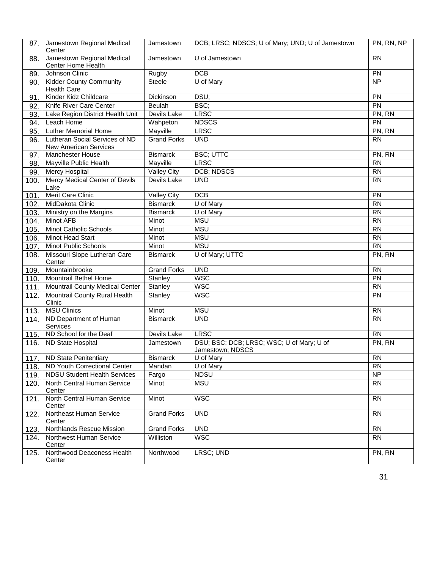| 87.                | Jamestown Regional Medical<br>Center                    | Jamestown          | DCB; LRSC; NDSCS; U of Mary; UND; U of Jamestown              | PN, RN, NP      |
|--------------------|---------------------------------------------------------|--------------------|---------------------------------------------------------------|-----------------|
| 88.                | Jamestown Regional Medical<br><b>Center Home Health</b> | Jamestown          | U of Jamestown                                                | <b>RN</b>       |
| 89.                | Johnson Clinic                                          | Rugby              | <b>DCB</b>                                                    | PN              |
| 90.                | <b>Kidder County Community</b><br><b>Health Care</b>    | <b>Steele</b>      | U of Mary                                                     | $\overline{NP}$ |
| 91.                | Kinder Kidz Childcare                                   | Dickinson          | DSU;                                                          | PN              |
| 92.                | Knife River Care Center                                 | Beulah             | BSC;                                                          | $\overline{PN}$ |
| 93.                | Lake Region District Health Unit                        | Devils Lake        | <b>LRSC</b>                                                   | PN, RN          |
| 94.                | Leach Home                                              | Wahpeton           | <b>NDSCS</b>                                                  | PN              |
| 95.                | <b>Luther Memorial Home</b>                             | Mayville           | <b>LRSC</b>                                                   | PN, RN          |
| 96.                | Lutheran Social Services of ND<br>New American Services | <b>Grand Forks</b> | <b>UND</b>                                                    | <b>RN</b>       |
| 97.                | Manchester House                                        | <b>Bismarck</b>    | <b>BSC; UTTC</b>                                              | PN, RN          |
| 98.                | Mayville Public Health                                  | Mayville           | <b>LRSC</b>                                                   | <b>RN</b>       |
| 99.                | Mercy Hospital                                          | <b>Valley City</b> | DCB; NDSCS                                                    | <b>RN</b>       |
| 100.               | Mercy Medical Center of Devils<br>Lake                  | Devils Lake        | <b>UND</b>                                                    | <b>RN</b>       |
| 101.               | Merit Care Clinic                                       | <b>Valley City</b> | <b>DCB</b>                                                    | PN              |
| $10\overline{2}$ . | MidDakota Clinic                                        | <b>Bismarck</b>    | $\overline{U}$ of Mary                                        | <b>RN</b>       |
| 103.               | Ministry on the Margins                                 | <b>Bismarck</b>    | U of Mary                                                     | <b>RN</b>       |
| 104.               | Minot AFB                                               | Minot              | <b>MSU</b>                                                    | <b>RN</b>       |
| 105.               | Minot Catholic Schools                                  | Minot              | <b>MSU</b>                                                    | <b>RN</b>       |
| 106.               | Minot Head Start                                        | Minot              | <b>MSU</b>                                                    | <b>RN</b>       |
| 107.               | <b>Minot Public Schools</b>                             | Minot              | <b>MSU</b>                                                    | <b>RN</b>       |
| 108.               | Missouri Slope Lutheran Care<br>Center                  | <b>Bismarck</b>    | U of Mary; UTTC                                               | PN, RN          |
| 109.               | Mountainbrooke                                          | <b>Grand Forks</b> | <b>UND</b>                                                    | <b>RN</b>       |
| 110.               | Mountrail Bethel Home                                   | Stanley            | <b>WSC</b>                                                    | $\overline{PN}$ |
| 111.               | Mountrail County Medical Center                         | Stanley            | <b>WSC</b>                                                    | <b>RN</b>       |
| 112.               | Mountrail County Rural Health<br>Clinic                 | Stanley            | <b>WSC</b>                                                    | PN              |
| 113.               | <b>MSU Clinics</b>                                      | Minot              | <b>MSU</b>                                                    | <b>RN</b>       |
| 114.               | ND Department of Human<br>Services                      | <b>Bismarck</b>    | <b>UND</b>                                                    | <b>RN</b>       |
| 115.               | ND School for the Deaf                                  | Devils Lake        | <b>LRSC</b>                                                   | <b>RN</b>       |
| 116.               | ND State Hospital                                       | Jamestown          | DSU; BSC; DCB; LRSC; WSC; U of Mary; U of<br>Jamestown; NDSCS | PN, RN          |
|                    | 117.   ND State Penitentiary                            | <b>Bismarck</b>    | U of Mary                                                     | <b>RN</b>       |
| 118.               | ND Youth Correctional Center                            | Mandan             | U of Mary                                                     | <b>RN</b>       |
| 119.               | <b>NDSU Student Health Services</b>                     | Fargo              | <b>NDSU</b>                                                   | N <sub>P</sub>  |
| 120.               | North Central Human Service<br>Center                   | Minot              | <b>MSU</b>                                                    | <b>RN</b>       |
| 121.               | North Central Human Service<br>Center                   | Minot              | <b>WSC</b>                                                    | <b>RN</b>       |
| 122.               | Northeast Human Service<br>Center                       | <b>Grand Forks</b> | <b>UND</b>                                                    | <b>RN</b>       |
| 123.               | Northlands Rescue Mission                               | <b>Grand Forks</b> | <b>UND</b>                                                    | <b>RN</b>       |
| 124.               | Northwest Human Service<br>Center                       | Williston          | <b>WSC</b>                                                    | <b>RN</b>       |
| 125.               | Northwood Deaconess Health<br>Center                    | Northwood          | LRSC; UND                                                     | PN, RN          |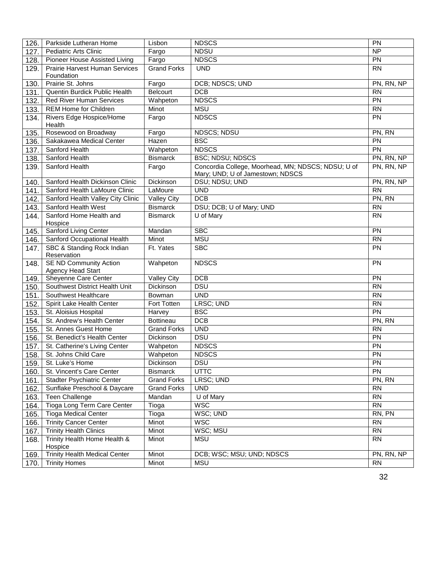| 126. | Parkside Lutheran Home                             | Lisbon             | <b>NDSCS</b>                                                                           | PN         |
|------|----------------------------------------------------|--------------------|----------------------------------------------------------------------------------------|------------|
| 127. | <b>Pediatric Arts Clinic</b>                       | Fargo              | <b>NDSU</b>                                                                            | <b>NP</b>  |
| 128. | Pioneer House Assisted Living                      | Fargo              | <b>NDSCS</b>                                                                           | PN         |
| 129. | Prairie Harvest Human Services                     | <b>Grand Forks</b> | <b>UND</b>                                                                             | <b>RN</b>  |
|      | Foundation                                         |                    |                                                                                        |            |
| 130. | Prairie St. Johns                                  | Fargo              | DCB; NDSCS; UND                                                                        | PN, RN, NP |
| 131. | Quentin Burdick Public Health                      | <b>Belcourt</b>    | <b>DCB</b>                                                                             | <b>RN</b>  |
| 132. | <b>Red River Human Services</b>                    | Wahpeton           | <b>NDSCS</b>                                                                           | PN         |
| 133. | REM Home for Children                              | Minot              | <b>MSU</b>                                                                             | <b>RN</b>  |
| 134. | Rivers Edge Hospice/Home<br>Health                 | Fargo              | <b>NDSCS</b>                                                                           | PN         |
| 135. | Rosewood on Broadway                               | Fargo              | <b>NDSCS; NDSU</b>                                                                     | PN, RN     |
| 136. | Sakakawea Medical Center                           | Hazen              | <b>BSC</b>                                                                             | <b>PN</b>  |
| 137. | Sanford Health                                     | Wahpeton           | <b>NDSCS</b>                                                                           | <b>PN</b>  |
| 138. | Sanford Health                                     | <b>Bismarck</b>    | <b>BSC; NDSU; NDSCS</b>                                                                | PN, RN, NP |
| 139. | Sanford Health                                     | Fargo              | Concordia College, Moorhead, MN; NDSCS; NDSU; U of<br>Mary; UND; U of Jamestown; NDSCS | PN, RN, NP |
| 140. | Sanford Health Dickinson Clinic                    | Dickinson          | DSU; NDSU; UND                                                                         | PN, RN, NP |
| 141. | Sanford Health LaMoure Clinic                      | LaMoure            | <b>UND</b>                                                                             | <b>RN</b>  |
| 142. | Sanford Health Valley City Clinic                  | <b>Valley City</b> | <b>DCB</b>                                                                             | PN, RN     |
| 143. | Sanford Health West                                | <b>Bismarck</b>    | DSU; DCB; U of Mary; UND                                                               | <b>RN</b>  |
| 144. | Sanford Home Health and<br>Hospice                 | <b>Bismarck</b>    | U of Mary                                                                              | <b>RN</b>  |
| 145. | Sanford Living Center                              | Mandan             | <b>SBC</b>                                                                             | PN         |
| 146. | Sanford Occupational Health                        | Minot              | <b>MSU</b>                                                                             | <b>RN</b>  |
| 147. | SBC & Standing Rock Indian<br>Reservation          | Ft. Yates          | <b>SBC</b>                                                                             | <b>PN</b>  |
| 148. | <b>SE ND Community Action</b><br>Agency Head Start | Wahpeton           | <b>NDSCS</b>                                                                           | PN         |
| 149. | Sheyenne Care Center                               | <b>Valley City</b> | DCB                                                                                    | PN         |
| 150. | Southwest District Health Unit                     | Dickinson          | <b>DSU</b>                                                                             | <b>RN</b>  |
| 151. | Southwest Healthcare                               | Bowman             | <b>UND</b>                                                                             | <b>RN</b>  |
| 152. | Spirit Lake Health Center                          | Fort Totten        | LRSC; UND                                                                              | <b>RN</b>  |
| 153. | St. Aloisius Hospital                              | Harvey             | <b>BSC</b>                                                                             | PN         |
| 154. | St. Andrew's Health Center                         | <b>Bottineau</b>   | DCB                                                                                    | PN, RN     |
| 155. | St. Annes Guest Home                               | <b>Grand Forks</b> | <b>UND</b>                                                                             | <b>RN</b>  |
| 156. | St. Benedict's Health Center                       | Dickinson          | <b>DSU</b>                                                                             | PN         |
| 157. | St. Catherine's Living Center                      | Wahpeton           | <b>NDSCS</b>                                                                           | PN         |
| 158. | St. Johns Child Care                               | Wahpeton           | <b>NDSCS</b>                                                                           | PN         |
| 159. | St. Luke's Home                                    | Dickinson          | DSU                                                                                    | <b>PN</b>  |
| 160. | St. Vincent's Care Center                          | <b>Bismarck</b>    | <b>UTTC</b>                                                                            | <b>PN</b>  |
| 161. | <b>Stadter Psychiatric Center</b>                  | <b>Grand Forks</b> | LRSC; UND                                                                              | PN, RN     |
| 162. | Sunflake Preschool & Daycare                       | <b>Grand Forks</b> | <b>UND</b>                                                                             |            |
| 163. | <b>Teen Challenge</b>                              | Mandan             | U of Mary                                                                              |            |
| 164. | Tioga Long Term Care Center                        | Tioga              | <b>WSC</b>                                                                             | <b>RN</b>  |
| 165. | <b>Tioga Medical Center</b>                        | Tioga              | WSC; UND                                                                               | RN, PN     |
| 166. | <b>Trinity Cancer Center</b>                       | Minot              | <b>WSC</b>                                                                             | <b>RN</b>  |
| 167. | <b>Trinity Health Clinics</b>                      | Minot              | WSC; MSU                                                                               | <b>RN</b>  |
| 168. | Trinity Health Home Health &<br>Hospice            | Minot              | <b>MSU</b>                                                                             | <b>RN</b>  |
| 169. | <b>Trinity Health Medical Center</b>               | Minot              | DCB; WSC; MSU; UND; NDSCS                                                              | PN, RN, NP |
| 170. | <b>Trinity Homes</b>                               | Minot              | <b>MSU</b>                                                                             | <b>RN</b>  |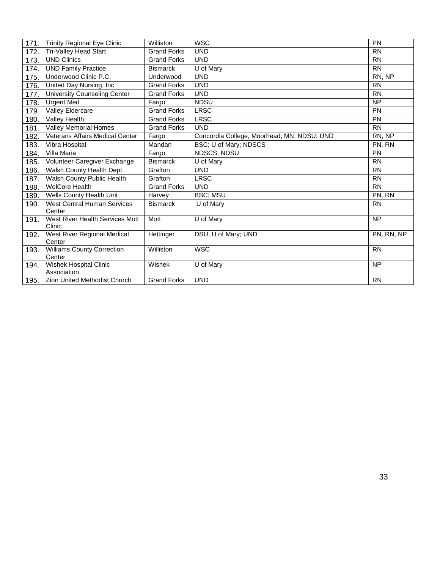| 171. | <b>Trinity Regional Eye Clinic</b>           | Williston          | <b>WSC</b>                                 | PN         |
|------|----------------------------------------------|--------------------|--------------------------------------------|------------|
| 172. | Tri-Valley Head Start                        | <b>Grand Forks</b> | <b>UND</b>                                 | <b>RN</b>  |
| 173. | <b>UND Clinics</b>                           | <b>Grand Forks</b> | <b>UND</b>                                 | <b>RN</b>  |
| 174. | <b>UND Family Practice</b>                   | <b>Bismarck</b>    | U of Mary                                  | <b>RN</b>  |
| 175. | Underwood Clinic P.C.                        | Underwood          | <b>UND</b>                                 | RN, NP     |
| 176. | United Day Nursing, Inc                      | <b>Grand Forks</b> | <b>UND</b>                                 | <b>RN</b>  |
| 177. | <b>University Counseling Center</b>          | <b>Grand Forks</b> | <b>UND</b>                                 | <b>RN</b>  |
| 178. | <b>Urgent Med</b>                            | Fargo              | <b>NDSU</b>                                | <b>NP</b>  |
| 179. | Valley Eldercare                             | <b>Grand Forks</b> | <b>LRSC</b>                                | PN         |
| 180. | Valley Health                                | <b>Grand Forks</b> | <b>LRSC</b>                                | PN         |
| 181. | Valley Memorial Homes                        | <b>Grand Forks</b> | <b>UND</b>                                 | <b>RN</b>  |
| 182. | <b>Veterans Affairs Medical Center</b>       | Fargo              | Concordia College, Moorhead, MN; NDSU; UND | RN, NP     |
| 183. | Vibra Hospital                               | Mandan             | BSC; U of Mary; NDSCS                      | PN, RN     |
| 184. | Villa Maria                                  | Fargo              | <b>NDSCS; NDSU</b>                         | <b>PN</b>  |
| 185. | Volunteer Caregiver Exchange                 | <b>Bismarck</b>    | U of Mary                                  | <b>RN</b>  |
| 186. | Walsh County Health Dept.                    | Grafton            | <b>UND</b>                                 | <b>RN</b>  |
| 187. | Walsh County Public Health                   | Grafton            | <b>LRSC</b>                                | <b>RN</b>  |
| 188. | <b>WelCore Health</b>                        | <b>Grand Forks</b> | <b>UND</b>                                 | <b>RN</b>  |
| 189. | Wells County Health Unit                     | Harvey             | <b>BSC; MSU</b>                            | PN, RN     |
| 190. | <b>West Central Human Services</b><br>Center | <b>Bismarck</b>    | U of Mary                                  | <b>RN</b>  |
| 191. | West River Health Services Mott<br>Clinic    | Mott               | U of Mary                                  | <b>NP</b>  |
| 192. | <b>West River Regional Medical</b><br>Center | Hettinger          | DSU; U of Mary; UND                        | PN. RN. NP |
| 193. | <b>Williams County Correction</b><br>Center  | <b>Williston</b>   | <b>WSC</b>                                 | <b>RN</b>  |
| 194. | Wishek Hospital Clinic<br>Association        | Wishek             | U of Mary                                  | <b>NP</b>  |
| 195. | <b>Zion United Methodist Church</b>          | <b>Grand Forks</b> | <b>UND</b>                                 | <b>RN</b>  |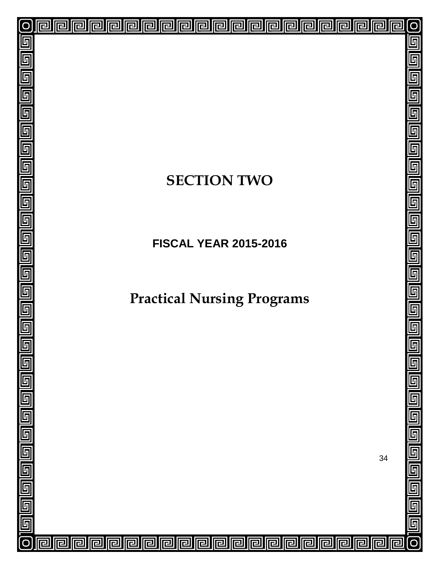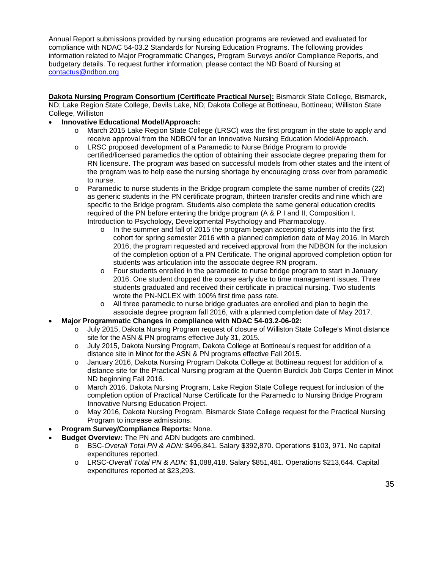Annual Report submissions provided by nursing education programs are reviewed and evaluated for compliance with NDAC 54-03.2 Standards for Nursing Education Programs. The following provides information related to Major Programmatic Changes, Program Surveys and/or Compliance Reports, and budgetary details. To request further information, please contact the ND Board of Nursing at [contactus@ndbon.org.](mailto:contactus@NDBON.org)

**Dakota Nursing Program Consortium (Certificate Practical Nurse):** Bismarck State College, Bismarck, ND; Lake Region State College, Devils Lake, ND; Dakota College at Bottineau, Bottineau; Williston State College, Williston

#### • **Innovative Educational Model/Approach:**

- o March 2015 Lake Region State College (LRSC) was the first program in the state to apply and receive approval from the NDBON for an Innovative Nursing Education Model/Approach.
- o LRSC proposed development of a Paramedic to Nurse Bridge Program to provide certified/licensed paramedics the option of obtaining their associate degree preparing them for RN licensure. The program was based on successful models from other states and the intent of the program was to help ease the nursing shortage by encouraging cross over from paramedic to nurse.
- o Paramedic to nurse students in the Bridge program complete the same number of credits (22) as generic students in the PN certificate program, thirteen transfer credits and nine which are specific to the Bridge program. Students also complete the same general education credits required of the PN before entering the bridge program (A & P I and II, Composition I, Introduction to Psychology, Developmental Psychology and Pharmacology.
	- $\circ$  In the summer and fall of 2015 the program began accepting students into the first cohort for spring semester 2016 with a planned completion date of May 2016. In March 2016, the program requested and received approval from the NDBON for the inclusion of the completion option of a PN Certificate. The original approved completion option for students was articulation into the associate degree RN program.
	- $\circ$  Four students enrolled in the paramedic to nurse bridge program to start in January 2016. One student dropped the course early due to time management issues. Three students graduated and received their certificate in practical nursing. Two students wrote the PN-NCLEX with 100% first time pass rate.
	- o All three paramedic to nurse bridge graduates are enrolled and plan to begin the associate degree program fall 2016, with a planned completion date of May 2017.
- **Major Programmatic Changes in compliance with NDAC 54-03.2-06-02:**
	- o July 2015, Dakota Nursing Program request of closure of Williston State College's Minot distance site for the ASN & PN programs effective July 31, 2015.
	- o July 2015, Dakota Nursing Program, Dakota College at Bottineau's request for addition of a distance site in Minot for the ASN & PN programs effective Fall 2015.
	- o January 2016, Dakota Nursing Program Dakota College at Bottineau request for addition of a distance site for the Practical Nursing program at the Quentin Burdick Job Corps Center in Minot ND beginning Fall 2016.
	- o March 2016, Dakota Nursing Program, Lake Region State College request for inclusion of the completion option of Practical Nurse Certificate for the Paramedic to Nursing Bridge Program Innovative Nursing Education Project.
	- o May 2016, Dakota Nursing Program, Bismarck State College request for the Practical Nursing Program to increase admissions.
- **Program Survey/Compliance Reports:** None.
- **Budget Overview:** The PN and ADN budgets are combined.
	- o BSC-*Overall Total PN & ADN:* \$496,841. Salary \$392,870. Operations \$103, 971. No capital expenditures reported.
	- o LRSC-*Overall Total PN & ADN:* \$1,088,418. Salary \$851,481. Operations \$213,644. Capital expenditures reported at \$23,293.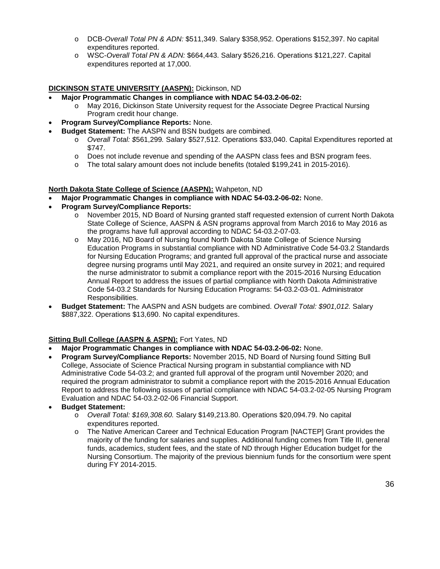- o DCB-*Overall Total PN & ADN:* \$511,349. Salary \$358,952. Operations \$152,397. No capital expenditures reported.
- o WSC-*Overall Total PN & ADN:* \$664,443. Salary \$526,216. Operations \$121,227. Capital expenditures reported at 17,000.

#### **DICKINSON STATE UNIVERSITY (AASPN):** Dickinson, ND

- **Major Programmatic Changes in compliance with NDAC 54-03.2-06-02:**
	- o May 2016, Dickinson State University request for the Associate Degree Practical Nursing Program credit hour change.
- **Program Survey/Compliance Reports:** None.
- **Budget Statement:** The AASPN and BSN budgets are combined.
	- o *Overall Total: \$*561,299*.* Salary \$527,512. Operations \$33,040. Capital Expenditures reported at \$747.
	- o Does not include revenue and spending of the AASPN class fees and BSN program fees.
	- o The total salary amount does not include benefits (totaled \$199,241 in 2015-2016).

#### **North Dakota State College of Science (AASPN):** Wahpeton, ND

- **Major Programmatic Changes in compliance with NDAC 54-03.2-06-02:** None.
- **Program Survey/Compliance Reports:**
	- o November 2015, ND Board of Nursing granted staff requested extension of current North Dakota State College of Science, AASPN & ASN programs approval from March 2016 to May 2016 as the programs have full approval according to NDAC 54-03.2-07-03.
	- o May 2016, ND Board of Nursing found North Dakota State College of Science Nursing Education Programs in substantial compliance with ND Administrative Code 54-03.2 Standards for Nursing Education Programs; and granted full approval of the practical nurse and associate degree nursing programs until May 2021, and required an onsite survey in 2021; and required the nurse administrator to submit a compliance report with the 2015-2016 Nursing Education Annual Report to address the issues of partial compliance with North Dakota Administrative Code 54-03.2 Standards for Nursing Education Programs: 54-03.2-03-01. Administrator Responsibilities.
- **Budget Statement:** The AASPN and ASN budgets are combined. *Overall Total: \$901,012.* Salary \$887,322. Operations \$13,690. No capital expenditures.

#### **Sitting Bull College (AASPN & ASPN):** Fort Yates, ND

- **Major Programmatic Changes in compliance with NDAC 54-03.2-06-02:** None.
- **Program Survey/Compliance Reports:** November 2015, ND Board of Nursing found Sitting Bull College, Associate of Science Practical Nursing program in substantial compliance with ND Administrative Code 54-03.2; and granted full approval of the program until November 2020; and required the program administrator to submit a compliance report with the 2015-2016 Annual Education Report to address the following issues of partial compliance with NDAC 54-03.2-02-05 Nursing Program Evaluation and NDAC 54-03.2-02-06 Financial Support.
- **Budget Statement:** 
	- o *Overall Total: \$169,308.60.* Salary \$149,213.80. Operations \$20,094.79. No capital expenditures reported.
	- o The Native American Career and Technical Education Program [NACTEP] Grant provides the majority of the funding for salaries and supplies. Additional funding comes from Title III, general funds, academics, student fees, and the state of ND through Higher Education budget for the Nursing Consortium. The majority of the previous biennium funds for the consortium were spent during FY 2014-2015.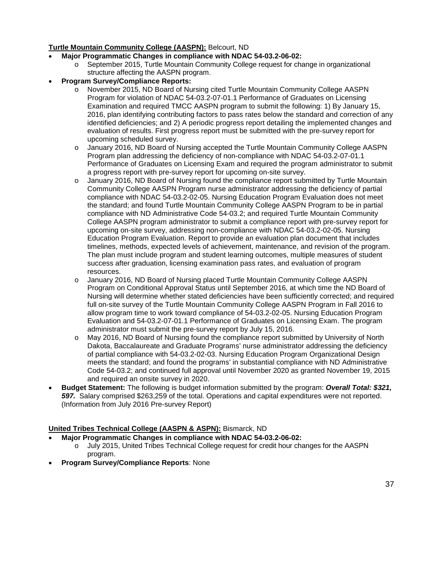#### **Turtle Mountain Community College (AASPN):** Belcourt, ND

- **Major Programmatic Changes in compliance with NDAC 54-03.2-06-02:** 
	- o September 2015, Turtle Mountain Community College request for change in organizational structure affecting the AASPN program.

#### • **Program Survey/Compliance Reports:**

- o November 2015, ND Board of Nursing cited Turtle Mountain Community College AASPN Program for violation of NDAC 54-03.2-07-01.1 Performance of Graduates on Licensing Examination and required TMCC AASPN program to submit the following: 1) By January 15, 2016, plan identifying contributing factors to pass rates below the standard and correction of any identified deficiencies; and 2) A periodic progress report detailing the implemented changes and evaluation of results. First progress report must be submitted with the pre-survey report for upcoming scheduled survey.
- o January 2016, ND Board of Nursing accepted the Turtle Mountain Community College AASPN Program plan addressing the deficiency of non-compliance with NDAC 54-03.2-07-01.1 Performance of Graduates on Licensing Exam and required the program administrator to submit a progress report with pre-survey report for upcoming on-site survey.
- o January 2016, ND Board of Nursing found the compliance report submitted by Turtle Mountain Community College AASPN Program nurse administrator addressing the deficiency of partial compliance with NDAC 54-03.2-02-05. Nursing Education Program Evaluation does not meet the standard; and found Turtle Mountain Community College AASPN Program to be in partial compliance with ND Administrative Code 54-03.2; and required Turtle Mountain Community College AASPN program administrator to submit a compliance report with pre-survey report for upcoming on-site survey, addressing non-compliance with NDAC 54-03.2-02-05. Nursing Education Program Evaluation. Report to provide an evaluation plan document that includes timelines, methods, expected levels of achievement, maintenance, and revision of the program. The plan must include program and student learning outcomes, multiple measures of student success after graduation, licensing examination pass rates, and evaluation of program resources.
- o January 2016, ND Board of Nursing placed Turtle Mountain Community College AASPN Program on Conditional Approval Status until September 2016, at which time the ND Board of Nursing will determine whether stated deficiencies have been sufficiently corrected; and required full on-site survey of the Turtle Mountain Community College AASPN Program in Fall 2016 to allow program time to work toward compliance of 54-03.2-02-05. Nursing Education Program Evaluation and 54-03.2-07-01.1 Performance of Graduates on Licensing Exam. The program administrator must submit the pre-survey report by July 15, 2016.
- o May 2016, ND Board of Nursing found the compliance report submitted by University of North Dakota, Baccalaureate and Graduate Programs' nurse administrator addressing the deficiency of partial compliance with 54-03.2-02-03. Nursing Education Program Organizational Design meets the standard; and found the programs' in substantial compliance with ND Administrative Code 54-03.2; and continued full approval until November 2020 as granted November 19, 2015 and required an onsite survey in 2020.
- **Budget Statement:** The following is budget information submitted by the program: *Overall Total: \$321, 597.* Salary comprised \$263,259 of the total. Operations and capital expenditures were not reported. (Information from July 2016 Pre-survey Report)

#### **United Tribes Technical College (AASPN & ASPN):** Bismarck, ND

- **Major Programmatic Changes in compliance with NDAC 54-03.2-06-02:** 
	- o July 2015, United Tribes Technical College request for credit hour changes for the AASPN program.
- **Program Survey/Compliance Reports**: None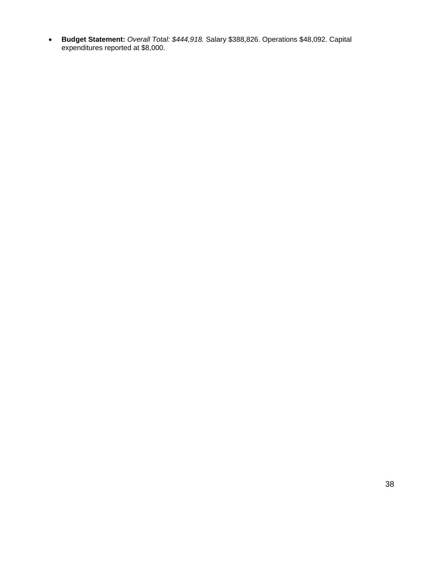• **Budget Statement:** *Overall Total: \$444,918.* Salary \$388,826. Operations \$48,092. Capital expenditures reported at \$8,000.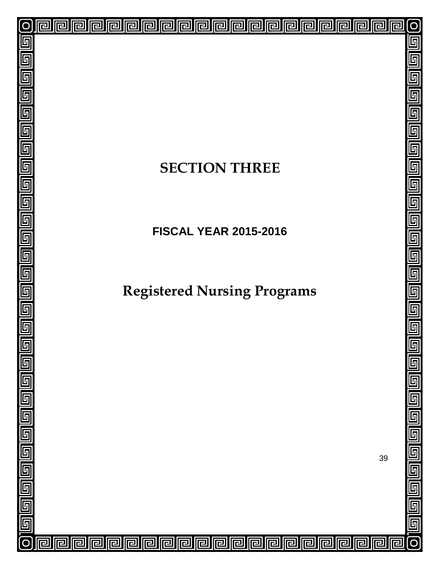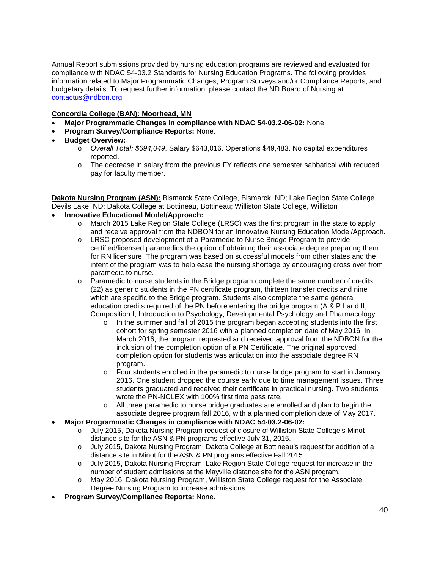Annual Report submissions provided by nursing education programs are reviewed and evaluated for compliance with NDAC 54-03.2 Standards for Nursing Education Programs. The following provides information related to Major Programmatic Changes, Program Surveys and/or Compliance Reports, and budgetary details. To request further information, please contact the ND Board of Nursing at [contactus@ndbon.org.](mailto:contactus@NDBON.org)

#### **Concordia College (BAN): Moorhead, MN**

- **Major Programmatic Changes in compliance with NDAC 54-03.2-06-02:** None.
- **Program Survey/Compliance Reports:** None.
- **Budget Overview:** 
	- o *Overall Total: \$694,049*. Salary \$643,016. Operations \$49,483. No capital expenditures reported.
	- o The decrease in salary from the previous FY reflects one semester sabbatical with reduced pay for faculty member.

**Dakota Nursing Program (ASN):** Bismarck State College, Bismarck, ND; Lake Region State College, Devils Lake, ND; Dakota College at Bottineau, Bottineau; Williston State College, Williston

- **Innovative Educational Model/Approach:**
	- o March 2015 Lake Region State College (LRSC) was the first program in the state to apply and receive approval from the NDBON for an Innovative Nursing Education Model/Approach.
	- o LRSC proposed development of a Paramedic to Nurse Bridge Program to provide certified/licensed paramedics the option of obtaining their associate degree preparing them for RN licensure. The program was based on successful models from other states and the intent of the program was to help ease the nursing shortage by encouraging cross over from paramedic to nurse.
	- o Paramedic to nurse students in the Bridge program complete the same number of credits (22) as generic students in the PN certificate program, thirteen transfer credits and nine which are specific to the Bridge program. Students also complete the same general education credits required of the PN before entering the bridge program (A & P I and II, Composition I, Introduction to Psychology, Developmental Psychology and Pharmacology.
		- $\circ$  In the summer and fall of 2015 the program began accepting students into the first cohort for spring semester 2016 with a planned completion date of May 2016. In March 2016, the program requested and received approval from the NDBON for the inclusion of the completion option of a PN Certificate. The original approved completion option for students was articulation into the associate degree RN program.
		- o Four students enrolled in the paramedic to nurse bridge program to start in January 2016. One student dropped the course early due to time management issues. Three students graduated and received their certificate in practical nursing. Two students wrote the PN-NCLEX with 100% first time pass rate.
		- o All three paramedic to nurse bridge graduates are enrolled and plan to begin the associate degree program fall 2016, with a planned completion date of May 2017.
- **Major Programmatic Changes in compliance with NDAC 54-03.2-06-02:**
	- o July 2015, Dakota Nursing Program request of closure of Williston State College's Minot distance site for the ASN & PN programs effective July 31, 2015.
	- o July 2015, Dakota Nursing Program, Dakota College at Bottineau's request for addition of a distance site in Minot for the ASN & PN programs effective Fall 2015.
	- o July 2015, Dakota Nursing Program, Lake Region State College request for increase in the number of student admissions at the Mayville distance site for the ASN program.
	- o May 2016, Dakota Nursing Program, Williston State College request for the Associate Degree Nursing Program to increase admissions.
- **Program Survey/Compliance Reports:** None.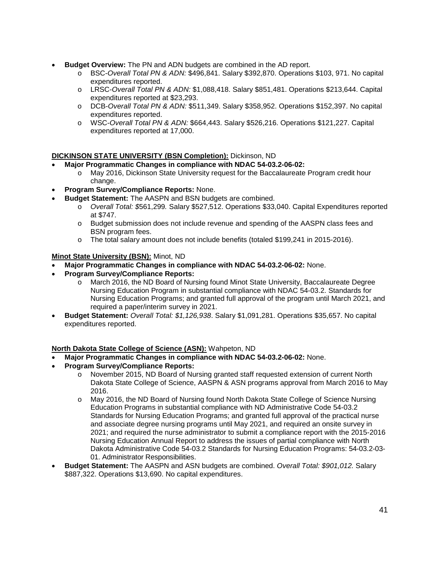- **Budget Overview:** The PN and ADN budgets are combined in the AD report.
	- o BSC-*Overall Total PN & ADN:* \$496,841. Salary \$392,870. Operations \$103, 971. No capital expenditures reported.
	- o LRSC-*Overall Total PN & ADN:* \$1,088,418. Salary \$851,481. Operations \$213,644. Capital expenditures reported at \$23,293.
	- o DCB-*Overall Total PN & ADN:* \$511,349. Salary \$358,952. Operations \$152,397. No capital expenditures reported.
	- o WSC-*Overall Total PN & ADN:* \$664,443. Salary \$526,216. Operations \$121,227. Capital expenditures reported at 17,000.

#### **DICKINSON STATE UNIVERSITY (BSN Completion):** Dickinson, ND

#### • **Major Programmatic Changes in compliance with NDAC 54-03.2-06-02:**

- o May 2016, Dickinson State University request for the Baccalaureate Program credit hour change.
- **Program Survey/Compliance Reports:** None.
- **Budget Statement:** The AASPN and BSN budgets are combined.
	- o *Overall Total: \$*561,299*.* Salary \$527,512. Operations \$33,040. Capital Expenditures reported at \$747.
	- o Budget submission does not include revenue and spending of the AASPN class fees and BSN program fees.
	- o The total salary amount does not include benefits (totaled \$199,241 in 2015-2016).

#### **Minot State University (BSN):** Minot, ND

- **Major Programmatic Changes in compliance with NDAC 54-03.2-06-02:** None.
- **Program Survey/Compliance Reports:**
	- o March 2016, the ND Board of Nursing found Minot State University, Baccalaureate Degree Nursing Education Program in substantial compliance with NDAC 54-03.2. Standards for Nursing Education Programs; and granted full approval of the program until March 2021, and required a paper/interim survey in 2021.
- **Budget Statement:** *Overall Total: \$1,126,938*. Salary \$1,091,281. Operations \$35,657. No capital expenditures reported.

#### **North Dakota State College of Science (ASN):** Wahpeton, ND

- **Major Programmatic Changes in compliance with NDAC 54-03.2-06-02:** None.
- **Program Survey/Compliance Reports:**
	- o November 2015, ND Board of Nursing granted staff requested extension of current North Dakota State College of Science, AASPN & ASN programs approval from March 2016 to May 2016.
	- o May 2016, the ND Board of Nursing found North Dakota State College of Science Nursing Education Programs in substantial compliance with ND Administrative Code 54-03.2 Standards for Nursing Education Programs; and granted full approval of the practical nurse and associate degree nursing programs until May 2021, and required an onsite survey in 2021; and required the nurse administrator to submit a compliance report with the 2015-2016 Nursing Education Annual Report to address the issues of partial compliance with North Dakota Administrative Code 54-03.2 Standards for Nursing Education Programs: 54-03.2-03- 01. Administrator Responsibilities.
- **Budget Statement:** The AASPN and ASN budgets are combined. *Overall Total: \$901,012.* Salary \$887,322. Operations \$13,690. No capital expenditures.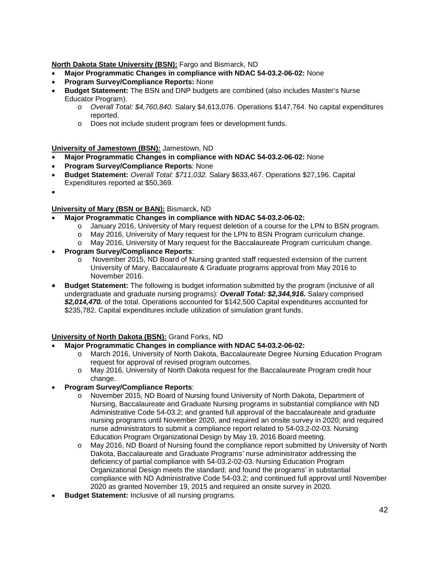**North Dakota State University (BSN):** Fargo and Bismarck, ND

- **Major Programmatic Changes in compliance with NDAC 54-03.2-06-02:** None
- **Program Survey/Compliance Reports:** None
- **Budget Statement:** The BSN and DNP budgets are combined (also includes Master's Nurse Educator Program).
	- o *Overall Total: \$4,760,840.* Salary \$4,613,076. Operations \$147,764. No capital expenditures reported.
	- o Does not include student program fees or development funds.

**University of Jamestown (BSN):** Jamestown, ND

- **Major Programmatic Changes in compliance with NDAC 54-03.2-06-02:** None
- **Program Survey/Compliance Reports**: None
- **Budget Statement:** *Overall Total: \$711,032.* Salary \$633,467. Operations \$27,196. Capital Expenditures reported at \$50,369.
- •

#### **University of Mary (BSN or BAN):** Bismarck, ND

- **Major Programmatic Changes in compliance with NDAC 54-03.2-06-02:** 
	- o January 2016, University of Mary request deletion of a course for the LPN to BSN program.
	- o May 2016, University of Mary request for the LPN to BSN Program curriculum change.
	- o May 2016, University of Mary request for the Baccalaureate Program curriculum change.
- **Program Survey/Compliance Reports**:
	- o November 2015, ND Board of Nursing granted staff requested extension of the current University of Mary, Baccalaureate & Graduate programs approval from May 2016 to November 2016.
- **Budget Statement:** The following is budget information submitted by the program (inclusive of all undergraduate and graduate nursing programs): *Overall Total: \$2,344,916.* Salary comprised *\$2,014,470.* of the total. Operations accounted for \$142,500 Capital expenditures accounted for \$235,782. Capital expenditures include utilization of simulation grant funds.

#### **University of North Dakota (BSN):** Grand Forks, ND

- **Major Programmatic Changes in compliance with NDAC 54-03.2-06-02:** 
	- o March 2016, University of North Dakota, Baccalaureate Degree Nursing Education Program request for approval of revised program outcomes.
	- o May 2016, University of North Dakota request for the Baccalaureate Program credit hour change.
- **Program Survey/Compliance Reports**:
	- o November 2015, ND Board of Nursing found University of North Dakota, Department of Nursing, Baccalaureate and Graduate Nursing programs in substantial compliance with ND Administrative Code 54-03.2; and granted full approval of the baccalaureate and graduate nursing programs until November 2020, and required an onsite survey in 2020; and required nurse administrators to submit a compliance report related to 54-03.2-02-03. Nursing Education Program Organizational Design by May 19, 2016 Board meeting.
	- May 2016, ND Board of Nursing found the compliance report submitted by University of North Dakota, Baccalaureate and Graduate Programs' nurse administrator addressing the deficiency of partial compliance with 54-03.2-02-03. Nursing Education Program Organizational Design meets the standard; and found the programs' in substantial compliance with ND Administrative Code 54-03.2; and continued full approval until November 2020 as granted November 19, 2015 and required an onsite survey in 2020.
- **Budget Statement:** Inclusive of all nursing programs.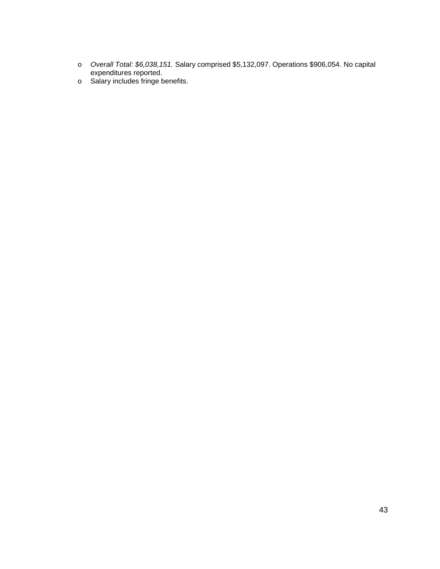- o *Overall Total: \$6,038,151.* Salary comprised \$5,132,097. Operations \$906,054. No capital expenditures reported.
- o Salary includes fringe benefits.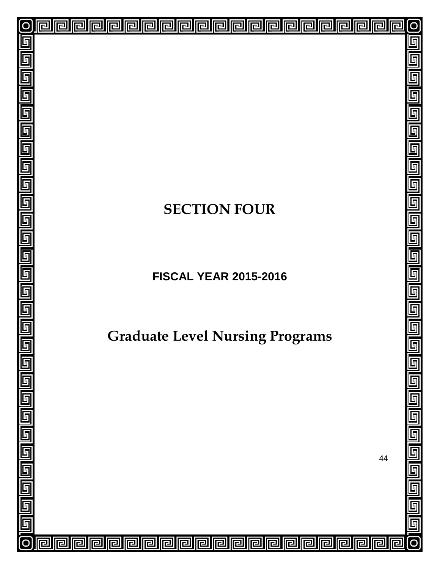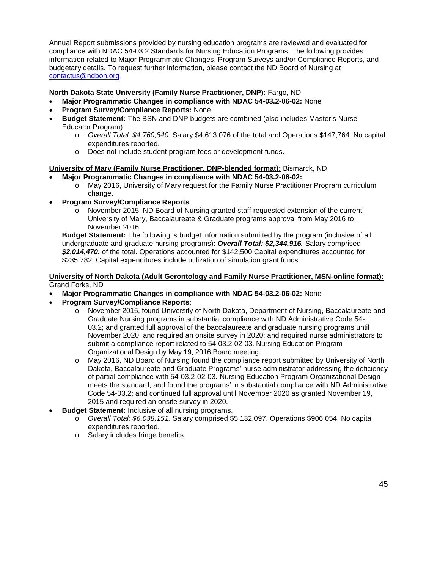Annual Report submissions provided by nursing education programs are reviewed and evaluated for compliance with NDAC 54-03.2 Standards for Nursing Education Programs. The following provides information related to Major Programmatic Changes, Program Surveys and/or Compliance Reports, and budgetary details. To request further information, please contact the ND Board of Nursing at [contactus@ndbon.org.](mailto:contactus@NDBON.org)

#### **North Dakota State University (Family Nurse Practitioner, DNP):** Fargo, ND

- **Major Programmatic Changes in compliance with NDAC 54-03.2-06-02:** None
- **Program Survey/Compliance Reports:** None
- **Budget Statement:** The BSN and DNP budgets are combined (also includes Master's Nurse Educator Program).
	- o *Overall Total: \$4,760,840.* Salary \$4,613,076 of the total and Operations \$147,764. No capital expenditures reported.
	- o Does not include student program fees or development funds.

#### **University of Mary (Family Nurse Practitioner, DNP-blended format):** Bismarck, ND

#### • **Major Programmatic Changes in compliance with NDAC 54-03.2-06-02:**

- o May 2016, University of Mary request for the Family Nurse Practitioner Program curriculum change.
- **Program Survey/Compliance Reports**:
	- o November 2015, ND Board of Nursing granted staff requested extension of the current University of Mary, Baccalaureate & Graduate programs approval from May 2016 to November 2016.

**Budget Statement:** The following is budget information submitted by the program (inclusive of all undergraduate and graduate nursing programs): *Overall Total: \$2,344,916.* Salary comprised *\$2,014,470.* of the total. Operations accounted for \$142,500 Capital expenditures accounted for \$235,782. Capital expenditures include utilization of simulation grant funds.

#### **University of North Dakota (Adult Gerontology and Family Nurse Practitioner, MSN-online format):** Grand Forks, ND

- **Major Programmatic Changes in compliance with NDAC 54-03.2-06-02:** None
- **Program Survey/Compliance Reports**:
	- o November 2015, found University of North Dakota, Department of Nursing, Baccalaureate and Graduate Nursing programs in substantial compliance with ND Administrative Code 54- 03.2; and granted full approval of the baccalaureate and graduate nursing programs until November 2020, and required an onsite survey in 2020; and required nurse administrators to submit a compliance report related to 54-03.2-02-03. Nursing Education Program Organizational Design by May 19, 2016 Board meeting.
	- o May 2016, ND Board of Nursing found the compliance report submitted by University of North Dakota, Baccalaureate and Graduate Programs' nurse administrator addressing the deficiency of partial compliance with 54-03.2-02-03. Nursing Education Program Organizational Design meets the standard; and found the programs' in substantial compliance with ND Administrative Code 54-03.2; and continued full approval until November 2020 as granted November 19, 2015 and required an onsite survey in 2020.
- **Budget Statement:** Inclusive of all nursing programs.
	- o *Overall Total: \$6,038,151.* Salary comprised \$5,132,097. Operations \$906,054. No capital expenditures reported.
	- o Salary includes fringe benefits.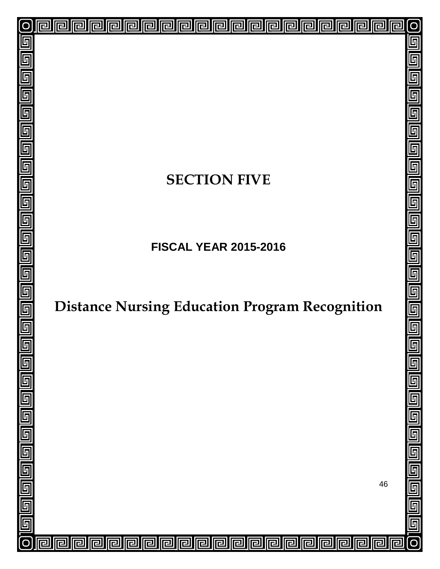# **SECTION FIVE**

回

린

已

囘

린

戸

戸

冋

囘

囘

囘

同

囘

 $\overline{\mathbf{r}}$ 

囘

冋

lr

冋

厄

冋

囘

己

互

 $\overline{\mathsf{F}}$ 

 $\overline{\mathbb{F}}$ 

 $\overline{\mathbb{F}}$ 

5

 $\overline{\mathsf{F}}$ 

5

 $\overline{\mathbb{F}}$ 

厅

 $\overline{\mathbb{F}}$ 

 $\overline{\mathbb{F}}$ 

 $\overline{\mathsf{F}}$ 

6

 $\overline{\mathsf{L}}$ 

 $\overline{\mathsf{F}}$ 

 $\overline{\mathfrak{h}}$ 

 $\overline{\mathbb{F}}$ 

回

回

回

囘

厄

戸

**FISCAL YEAR 2015-2016**

# **Distance Nursing Education Program Recognition**

46

 $\overline{\mathsf{L}}$ 

互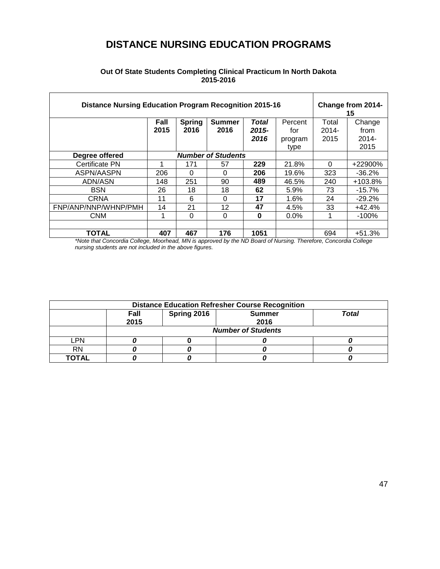# **DISTANCE NURSING EDUCATION PROGRAMS**

| <b>Distance Nursing Education Program Recognition 2015-16</b> |      |               |                           |          |         |          | Change from 2014-<br>15 |  |
|---------------------------------------------------------------|------|---------------|---------------------------|----------|---------|----------|-------------------------|--|
|                                                               | Fall | <b>Spring</b> | <b>Summer</b>             | Total    | Percent | Total    | Change                  |  |
|                                                               | 2015 | 2016          | 2016                      | $2015 -$ | for     | $2014 -$ | from                    |  |
|                                                               |      |               |                           | 2016     | program | 2015     | $2014 -$                |  |
|                                                               |      |               |                           |          | type    |          | 2015                    |  |
| Degree offered                                                |      |               | <b>Number of Students</b> |          |         |          |                         |  |
| Certificate PN                                                |      | 171           | 57                        | 229      | 21.8%   | $\Omega$ | +22900%                 |  |
| ASPN/AASPN                                                    | 206  | $\Omega$      | $\Omega$                  | 206      | 19.6%   | 323      | $-36.2%$                |  |
| ADN/ASN                                                       | 148  | 251           | 90                        | 489      | 46.5%   | 240      | $+103.8%$               |  |
| <b>BSN</b>                                                    | 26   | 18            | 18                        | 62       | 5.9%    | 73       | $-15.7%$                |  |
| <b>CRNA</b>                                                   | 11   | 6             | 0                         | 17       | 1.6%    | 24       | $-29.2%$                |  |
| FNP/ANP/NNP/WHNP/PMH                                          | 14   | 21            | 12                        | 47       | 4.5%    | 33       | $+42.4%$                |  |
| <b>CNM</b>                                                    |      | $\Omega$      | $\Omega$                  | $\bf{0}$ | $0.0\%$ |          | $-100%$                 |  |
|                                                               |      |               |                           |          |         |          |                         |  |
| TOTAL                                                         | 407  | 467           | 176                       | 1051     |         | 694      | $+51.3%$                |  |

#### **Out Of State Students Completing Clinical Practicum In North Dakota 2015-2016**

*\*Note that Concordia College, Moorhead, MN is approved by the ND Board of Nursing. Therefore, Concordia College nursing students are not included in the above figures.*

| <b>Distance Education Refresher Course Recognition</b>               |                           |  |  |  |  |  |  |  |
|----------------------------------------------------------------------|---------------------------|--|--|--|--|--|--|--|
| Spring 2016<br><b>Total</b><br>Fall<br><b>Summer</b><br>2015<br>2016 |                           |  |  |  |  |  |  |  |
|                                                                      | <b>Number of Students</b> |  |  |  |  |  |  |  |
| LPN                                                                  |                           |  |  |  |  |  |  |  |
| RN                                                                   |                           |  |  |  |  |  |  |  |
| ΤΟΤΑL                                                                |                           |  |  |  |  |  |  |  |